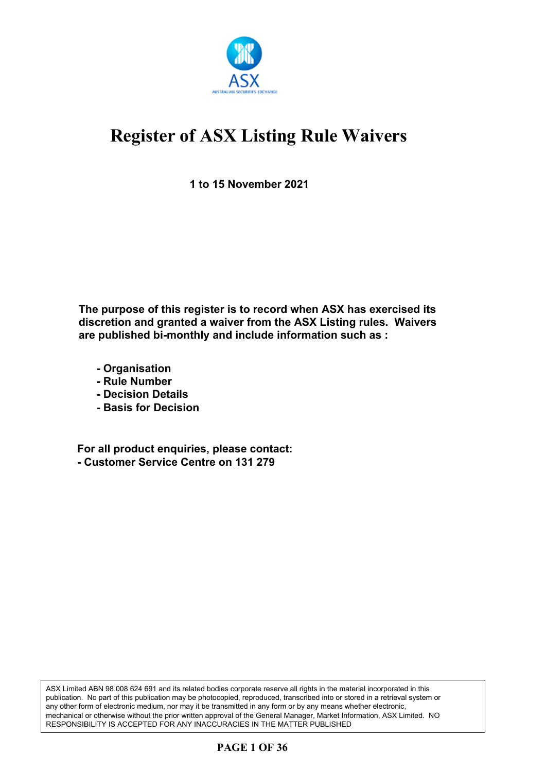

**1 to 15 November 2021**

**The purpose of this register is to record when ASX has exercised its discretion and granted a waiver from the ASX Listing rules. Waivers are published bi-monthly and include information such as :**

- **Organisation**
- **Rule Number**
- **Decision Details**
- **Basis for Decision**

**For all product enquiries, please contact: - Customer Service Centre on 131 279**

ASX Limited ABN 98 008 624 691 and its related bodies corporate reserve all rights in the material incorporated in this publication. No part of this publication may be photocopied, reproduced, transcribed into or stored in a retrieval system or any other form of electronic medium, nor may it be transmitted in any form or by any means whether electronic, mechanical or otherwise without the prior written approval of the General Manager, Market Information, ASX Limited. NO RESPONSIBILITY IS ACCEPTED FOR ANY INACCURACIES IN THE MATTER PUBLISHED

## **PAGE 1 OF 36**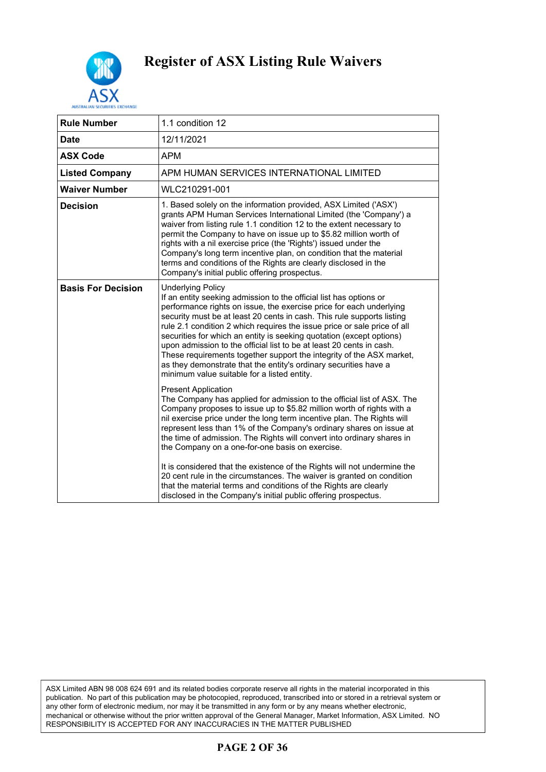

| <b>Rule Number</b>        | 1.1 condition 12                                                                                                                                                                                                                                                                                                                                                                                                                                                                                                                                                                                                                                                       |
|---------------------------|------------------------------------------------------------------------------------------------------------------------------------------------------------------------------------------------------------------------------------------------------------------------------------------------------------------------------------------------------------------------------------------------------------------------------------------------------------------------------------------------------------------------------------------------------------------------------------------------------------------------------------------------------------------------|
| <b>Date</b>               | 12/11/2021                                                                                                                                                                                                                                                                                                                                                                                                                                                                                                                                                                                                                                                             |
| <b>ASX Code</b>           | <b>APM</b>                                                                                                                                                                                                                                                                                                                                                                                                                                                                                                                                                                                                                                                             |
| <b>Listed Company</b>     | APM HUMAN SERVICES INTERNATIONAL LIMITED                                                                                                                                                                                                                                                                                                                                                                                                                                                                                                                                                                                                                               |
| <b>Waiver Number</b>      | WLC210291-001                                                                                                                                                                                                                                                                                                                                                                                                                                                                                                                                                                                                                                                          |
| <b>Decision</b>           | 1. Based solely on the information provided, ASX Limited ('ASX')<br>grants APM Human Services International Limited (the 'Company') a<br>waiver from listing rule 1.1 condition 12 to the extent necessary to<br>permit the Company to have on issue up to \$5.82 million worth of<br>rights with a nil exercise price (the 'Rights') issued under the<br>Company's long term incentive plan, on condition that the material<br>terms and conditions of the Rights are clearly disclosed in the<br>Company's initial public offering prospectus.                                                                                                                       |
| <b>Basis For Decision</b> | <b>Underlying Policy</b><br>If an entity seeking admission to the official list has options or<br>performance rights on issue, the exercise price for each underlying<br>security must be at least 20 cents in cash. This rule supports listing<br>rule 2.1 condition 2 which requires the issue price or sale price of all<br>securities for which an entity is seeking quotation (except options)<br>upon admission to the official list to be at least 20 cents in cash.<br>These requirements together support the integrity of the ASX market,<br>as they demonstrate that the entity's ordinary securities have a<br>minimum value suitable for a listed entity. |
|                           | <b>Present Application</b><br>The Company has applied for admission to the official list of ASX. The<br>Company proposes to issue up to \$5.82 million worth of rights with a<br>nil exercise price under the long term incentive plan. The Rights will<br>represent less than 1% of the Company's ordinary shares on issue at<br>the time of admission. The Rights will convert into ordinary shares in<br>the Company on a one-for-one basis on exercise.                                                                                                                                                                                                            |
|                           | It is considered that the existence of the Rights will not undermine the<br>20 cent rule in the circumstances. The waiver is granted on condition<br>that the material terms and conditions of the Rights are clearly<br>disclosed in the Company's initial public offering prospectus.                                                                                                                                                                                                                                                                                                                                                                                |

ASX Limited ABN 98 008 624 691 and its related bodies corporate reserve all rights in the material incorporated in this publication. No part of this publication may be photocopied, reproduced, transcribed into or stored in a retrieval system or any other form of electronic medium, nor may it be transmitted in any form or by any means whether electronic, mechanical or otherwise without the prior written approval of the General Manager, Market Information, ASX Limited. NO RESPONSIBILITY IS ACCEPTED FOR ANY INACCURACIES IN THE MATTER PUBLISHED

## **PAGE 2 OF 36**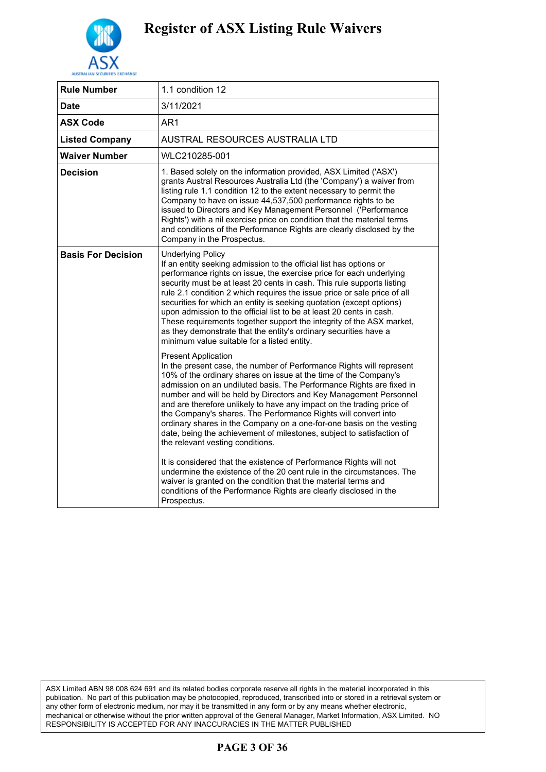

| <b>Rule Number</b>        | 1.1 condition 12                                                                                                                                                                                                                                                                                                                                                                                                                                                                                                                                                                                                                                                       |
|---------------------------|------------------------------------------------------------------------------------------------------------------------------------------------------------------------------------------------------------------------------------------------------------------------------------------------------------------------------------------------------------------------------------------------------------------------------------------------------------------------------------------------------------------------------------------------------------------------------------------------------------------------------------------------------------------------|
| Date                      | 3/11/2021                                                                                                                                                                                                                                                                                                                                                                                                                                                                                                                                                                                                                                                              |
| <b>ASX Code</b>           | AR <sub>1</sub>                                                                                                                                                                                                                                                                                                                                                                                                                                                                                                                                                                                                                                                        |
| <b>Listed Company</b>     | AUSTRAL RESOURCES AUSTRALIA LTD                                                                                                                                                                                                                                                                                                                                                                                                                                                                                                                                                                                                                                        |
| <b>Waiver Number</b>      | WLC210285-001                                                                                                                                                                                                                                                                                                                                                                                                                                                                                                                                                                                                                                                          |
| Decision                  | 1. Based solely on the information provided, ASX Limited ('ASX')<br>grants Austral Resources Australia Ltd (the 'Company') a waiver from<br>listing rule 1.1 condition 12 to the extent necessary to permit the<br>Company to have on issue 44,537,500 performance rights to be<br>issued to Directors and Key Management Personnel ('Performance<br>Rights') with a nil exercise price on condition that the material terms<br>and conditions of the Performance Rights are clearly disclosed by the<br>Company in the Prospectus.                                                                                                                                    |
| <b>Basis For Decision</b> | <b>Underlying Policy</b><br>If an entity seeking admission to the official list has options or<br>performance rights on issue, the exercise price for each underlying<br>security must be at least 20 cents in cash. This rule supports listing<br>rule 2.1 condition 2 which requires the issue price or sale price of all<br>securities for which an entity is seeking quotation (except options)<br>upon admission to the official list to be at least 20 cents in cash.<br>These requirements together support the integrity of the ASX market,<br>as they demonstrate that the entity's ordinary securities have a<br>minimum value suitable for a listed entity. |
|                           | <b>Present Application</b><br>In the present case, the number of Performance Rights will represent<br>10% of the ordinary shares on issue at the time of the Company's<br>admission on an undiluted basis. The Performance Rights are fixed in<br>number and will be held by Directors and Key Management Personnel<br>and are therefore unlikely to have any impact on the trading price of<br>the Company's shares. The Performance Rights will convert into<br>ordinary shares in the Company on a one-for-one basis on the vesting<br>date, being the achievement of milestones, subject to satisfaction of<br>the relevant vesting conditions.                    |
|                           | It is considered that the existence of Performance Rights will not<br>undermine the existence of the 20 cent rule in the circumstances. The<br>waiver is granted on the condition that the material terms and<br>conditions of the Performance Rights are clearly disclosed in the<br>Prospectus.                                                                                                                                                                                                                                                                                                                                                                      |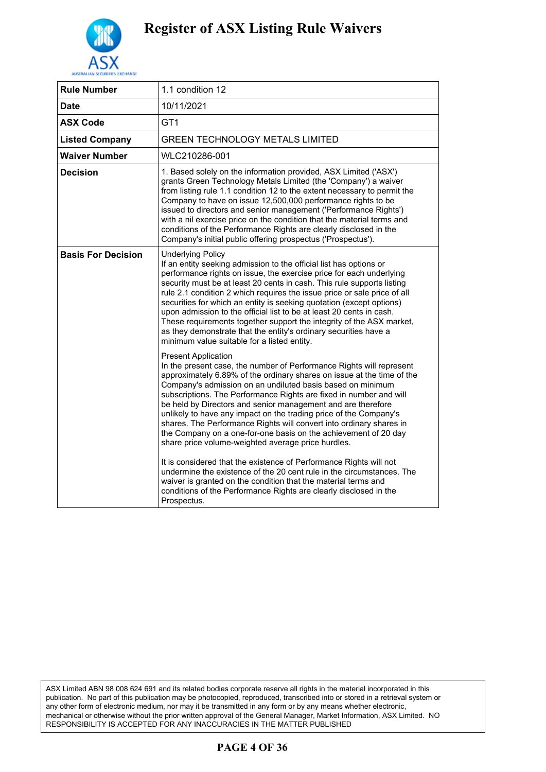

| <b>Rule Number</b>        | 1.1 condition 12                                                                                                                                                                                                                                                                                                                                                                                                                                                                                                                                                                                                                                                       |
|---------------------------|------------------------------------------------------------------------------------------------------------------------------------------------------------------------------------------------------------------------------------------------------------------------------------------------------------------------------------------------------------------------------------------------------------------------------------------------------------------------------------------------------------------------------------------------------------------------------------------------------------------------------------------------------------------------|
| Date                      | 10/11/2021                                                                                                                                                                                                                                                                                                                                                                                                                                                                                                                                                                                                                                                             |
| <b>ASX Code</b>           | GT <sub>1</sub>                                                                                                                                                                                                                                                                                                                                                                                                                                                                                                                                                                                                                                                        |
| <b>Listed Company</b>     | <b>GREEN TECHNOLOGY METALS LIMITED</b>                                                                                                                                                                                                                                                                                                                                                                                                                                                                                                                                                                                                                                 |
| <b>Waiver Number</b>      | WLC210286-001                                                                                                                                                                                                                                                                                                                                                                                                                                                                                                                                                                                                                                                          |
| <b>Decision</b>           | 1. Based solely on the information provided, ASX Limited ('ASX')<br>grants Green Technology Metals Limited (the 'Company') a waiver<br>from listing rule 1.1 condition 12 to the extent necessary to permit the<br>Company to have on issue 12,500,000 performance rights to be<br>issued to directors and senior management ('Performance Rights')<br>with a nil exercise price on the condition that the material terms and<br>conditions of the Performance Rights are clearly disclosed in the<br>Company's initial public offering prospectus ('Prospectus').                                                                                                     |
| <b>Basis For Decision</b> | <b>Underlying Policy</b><br>If an entity seeking admission to the official list has options or<br>performance rights on issue, the exercise price for each underlying<br>security must be at least 20 cents in cash. This rule supports listing<br>rule 2.1 condition 2 which requires the issue price or sale price of all<br>securities for which an entity is seeking quotation (except options)<br>upon admission to the official list to be at least 20 cents in cash.<br>These requirements together support the integrity of the ASX market,<br>as they demonstrate that the entity's ordinary securities have a<br>minimum value suitable for a listed entity. |
|                           | <b>Present Application</b><br>In the present case, the number of Performance Rights will represent<br>approximately 6.89% of the ordinary shares on issue at the time of the<br>Company's admission on an undiluted basis based on minimum<br>subscriptions. The Performance Rights are fixed in number and will<br>be held by Directors and senior management and are therefore<br>unlikely to have any impact on the trading price of the Company's<br>shares. The Performance Rights will convert into ordinary shares in<br>the Company on a one-for-one basis on the achievement of 20 day<br>share price volume-weighted average price hurdles.                  |
|                           | It is considered that the existence of Performance Rights will not<br>undermine the existence of the 20 cent rule in the circumstances. The<br>waiver is granted on the condition that the material terms and<br>conditions of the Performance Rights are clearly disclosed in the<br>Prospectus.                                                                                                                                                                                                                                                                                                                                                                      |

ASX Limited ABN 98 008 624 691 and its related bodies corporate reserve all rights in the material incorporated in this publication. No part of this publication may be photocopied, reproduced, transcribed into or stored in a retrieval system or any other form of electronic medium, nor may it be transmitted in any form or by any means whether electronic, mechanical or otherwise without the prior written approval of the General Manager, Market Information, ASX Limited. NO RESPONSIBILITY IS ACCEPTED FOR ANY INACCURACIES IN THE MATTER PUBLISHED

## **PAGE 4 OF 36**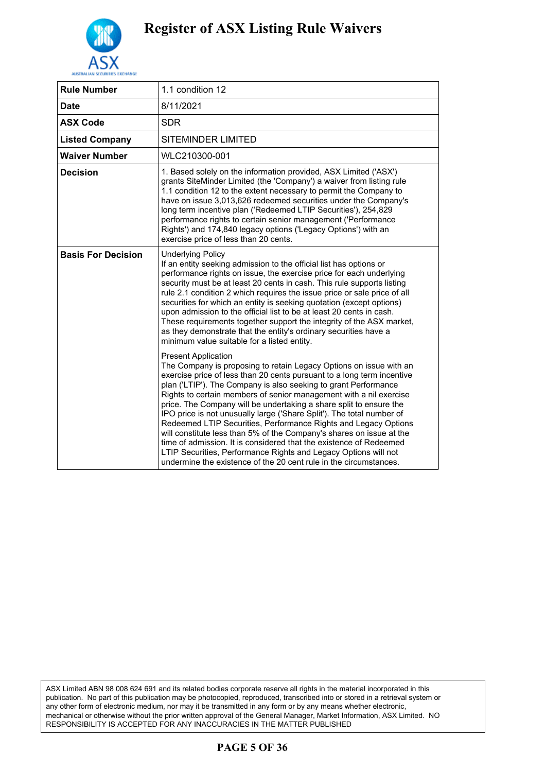

| <b>Rule Number</b>        | 1.1 condition 12                                                                                                                                                                                                                                                                                                                                                                                                                                                                                                                                                                                                                                                                                                                                                                                                            |
|---------------------------|-----------------------------------------------------------------------------------------------------------------------------------------------------------------------------------------------------------------------------------------------------------------------------------------------------------------------------------------------------------------------------------------------------------------------------------------------------------------------------------------------------------------------------------------------------------------------------------------------------------------------------------------------------------------------------------------------------------------------------------------------------------------------------------------------------------------------------|
| <b>Date</b>               | 8/11/2021                                                                                                                                                                                                                                                                                                                                                                                                                                                                                                                                                                                                                                                                                                                                                                                                                   |
| <b>ASX Code</b>           | <b>SDR</b>                                                                                                                                                                                                                                                                                                                                                                                                                                                                                                                                                                                                                                                                                                                                                                                                                  |
| <b>Listed Company</b>     | SITEMINDER LIMITED                                                                                                                                                                                                                                                                                                                                                                                                                                                                                                                                                                                                                                                                                                                                                                                                          |
| <b>Waiver Number</b>      | WLC210300-001                                                                                                                                                                                                                                                                                                                                                                                                                                                                                                                                                                                                                                                                                                                                                                                                               |
| <b>Decision</b>           | 1. Based solely on the information provided, ASX Limited ('ASX')<br>grants SiteMinder Limited (the 'Company') a waiver from listing rule<br>1.1 condition 12 to the extent necessary to permit the Company to<br>have on issue 3,013,626 redeemed securities under the Company's<br>long term incentive plan ('Redeemed LTIP Securities'), 254,829<br>performance rights to certain senior management ('Performance<br>Rights') and 174,840 legacy options ('Legacy Options') with an<br>exercise price of less than 20 cents.                                                                                                                                                                                                                                                                                              |
| <b>Basis For Decision</b> | <b>Underlying Policy</b><br>If an entity seeking admission to the official list has options or<br>performance rights on issue, the exercise price for each underlying<br>security must be at least 20 cents in cash. This rule supports listing<br>rule 2.1 condition 2 which requires the issue price or sale price of all<br>securities for which an entity is seeking quotation (except options)<br>upon admission to the official list to be at least 20 cents in cash.<br>These requirements together support the integrity of the ASX market,<br>as they demonstrate that the entity's ordinary securities have a<br>minimum value suitable for a listed entity.                                                                                                                                                      |
|                           | <b>Present Application</b><br>The Company is proposing to retain Legacy Options on issue with an<br>exercise price of less than 20 cents pursuant to a long term incentive<br>plan ('LTIP'). The Company is also seeking to grant Performance<br>Rights to certain members of senior management with a nil exercise<br>price. The Company will be undertaking a share split to ensure the<br>IPO price is not unusually large ('Share Split'). The total number of<br>Redeemed LTIP Securities, Performance Rights and Legacy Options<br>will constitute less than 5% of the Company's shares on issue at the<br>time of admission. It is considered that the existence of Redeemed<br>LTIP Securities, Performance Rights and Legacy Options will not<br>undermine the existence of the 20 cent rule in the circumstances. |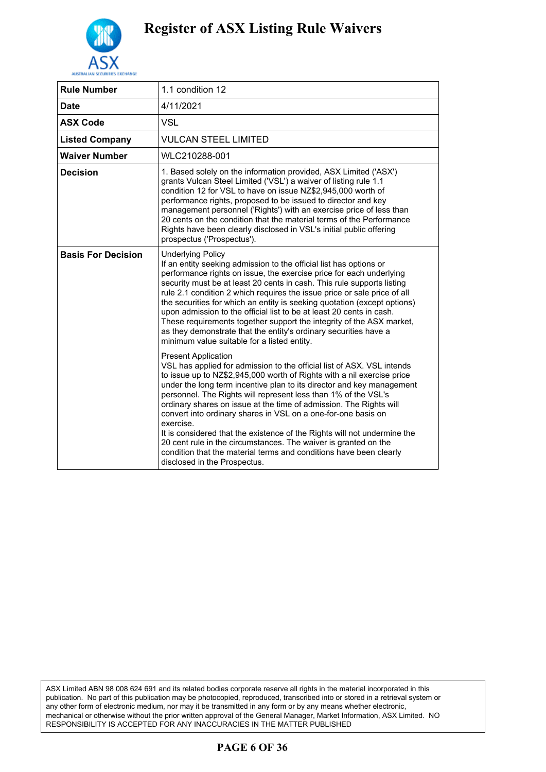

| <b>Rule Number</b>        | 1.1 condition 12                                                                                                                                                                                                                                                                                                                                                                                                                                                                                                                                                                                                                                                                                   |
|---------------------------|----------------------------------------------------------------------------------------------------------------------------------------------------------------------------------------------------------------------------------------------------------------------------------------------------------------------------------------------------------------------------------------------------------------------------------------------------------------------------------------------------------------------------------------------------------------------------------------------------------------------------------------------------------------------------------------------------|
| <b>Date</b>               | 4/11/2021                                                                                                                                                                                                                                                                                                                                                                                                                                                                                                                                                                                                                                                                                          |
| <b>ASX Code</b>           | VSL                                                                                                                                                                                                                                                                                                                                                                                                                                                                                                                                                                                                                                                                                                |
| <b>Listed Company</b>     | <b>VULCAN STEEL LIMITED</b>                                                                                                                                                                                                                                                                                                                                                                                                                                                                                                                                                                                                                                                                        |
| <b>Waiver Number</b>      | WLC210288-001                                                                                                                                                                                                                                                                                                                                                                                                                                                                                                                                                                                                                                                                                      |
| <b>Decision</b>           | 1. Based solely on the information provided, ASX Limited ('ASX')<br>grants Vulcan Steel Limited ('VSL') a waiver of listing rule 1.1<br>condition 12 for VSL to have on issue NZ\$2,945,000 worth of<br>performance rights, proposed to be issued to director and key<br>management personnel ('Rights') with an exercise price of less than<br>20 cents on the condition that the material terms of the Performance<br>Rights have been clearly disclosed in VSL's initial public offering<br>prospectus ('Prospectus').                                                                                                                                                                          |
| <b>Basis For Decision</b> | <b>Underlying Policy</b><br>If an entity seeking admission to the official list has options or<br>performance rights on issue, the exercise price for each underlying<br>security must be at least 20 cents in cash. This rule supports listing<br>rule 2.1 condition 2 which requires the issue price or sale price of all<br>the securities for which an entity is seeking quotation (except options)<br>upon admission to the official list to be at least 20 cents in cash.<br>These requirements together support the integrity of the ASX market,<br>as they demonstrate that the entity's ordinary securities have a<br>minimum value suitable for a listed entity.                         |
|                           | <b>Present Application</b><br>VSL has applied for admission to the official list of ASX. VSL intends<br>to issue up to NZ\$2,945,000 worth of Rights with a nil exercise price<br>under the long term incentive plan to its director and key management<br>personnel. The Rights will represent less than 1% of the VSL's<br>ordinary shares on issue at the time of admission. The Rights will<br>convert into ordinary shares in VSL on a one-for-one basis on<br>exercise.<br>It is considered that the existence of the Rights will not undermine the<br>20 cent rule in the circumstances. The waiver is granted on the<br>condition that the material terms and conditions have been clearly |
|                           | disclosed in the Prospectus.                                                                                                                                                                                                                                                                                                                                                                                                                                                                                                                                                                                                                                                                       |

ASX Limited ABN 98 008 624 691 and its related bodies corporate reserve all rights in the material incorporated in this publication. No part of this publication may be photocopied, reproduced, transcribed into or stored in a retrieval system or any other form of electronic medium, nor may it be transmitted in any form or by any means whether electronic, mechanical or otherwise without the prior written approval of the General Manager, Market Information, ASX Limited. NO RESPONSIBILITY IS ACCEPTED FOR ANY INACCURACIES IN THE MATTER PUBLISHED

## **PAGE 6 OF 36**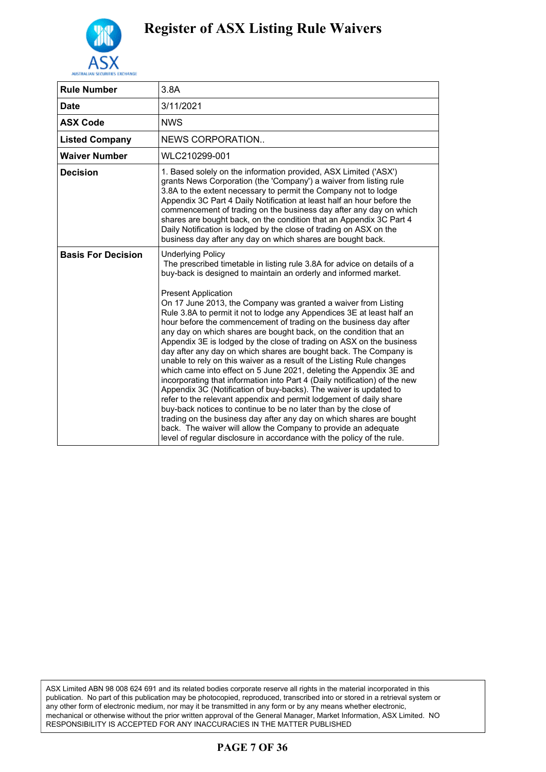

| <b>Rule Number</b>        | 3.8A                                                                                                                                                                                                                                                                                                                                                                                                                                                                                                                                                                                                                                                                                                                                                                                                                                                                                                                                                                                                                                                                                                                                                                                                                                                                                                       |
|---------------------------|------------------------------------------------------------------------------------------------------------------------------------------------------------------------------------------------------------------------------------------------------------------------------------------------------------------------------------------------------------------------------------------------------------------------------------------------------------------------------------------------------------------------------------------------------------------------------------------------------------------------------------------------------------------------------------------------------------------------------------------------------------------------------------------------------------------------------------------------------------------------------------------------------------------------------------------------------------------------------------------------------------------------------------------------------------------------------------------------------------------------------------------------------------------------------------------------------------------------------------------------------------------------------------------------------------|
| <b>Date</b>               | 3/11/2021                                                                                                                                                                                                                                                                                                                                                                                                                                                                                                                                                                                                                                                                                                                                                                                                                                                                                                                                                                                                                                                                                                                                                                                                                                                                                                  |
| <b>ASX Code</b>           | <b>NWS</b>                                                                                                                                                                                                                                                                                                                                                                                                                                                                                                                                                                                                                                                                                                                                                                                                                                                                                                                                                                                                                                                                                                                                                                                                                                                                                                 |
| <b>Listed Company</b>     | NEWS CORPORATION                                                                                                                                                                                                                                                                                                                                                                                                                                                                                                                                                                                                                                                                                                                                                                                                                                                                                                                                                                                                                                                                                                                                                                                                                                                                                           |
| <b>Waiver Number</b>      | WLC210299-001                                                                                                                                                                                                                                                                                                                                                                                                                                                                                                                                                                                                                                                                                                                                                                                                                                                                                                                                                                                                                                                                                                                                                                                                                                                                                              |
| <b>Decision</b>           | 1. Based solely on the information provided, ASX Limited ('ASX')<br>grants News Corporation (the 'Company') a waiver from listing rule<br>3.8A to the extent necessary to permit the Company not to lodge<br>Appendix 3C Part 4 Daily Notification at least half an hour before the<br>commencement of trading on the business day after any day on which<br>shares are bought back, on the condition that an Appendix 3C Part 4<br>Daily Notification is lodged by the close of trading on ASX on the<br>business day after any day on which shares are bought back.                                                                                                                                                                                                                                                                                                                                                                                                                                                                                                                                                                                                                                                                                                                                      |
| <b>Basis For Decision</b> | <b>Underlying Policy</b><br>The prescribed timetable in listing rule 3.8A for advice on details of a<br>buy-back is designed to maintain an orderly and informed market.<br><b>Present Application</b><br>On 17 June 2013, the Company was granted a waiver from Listing<br>Rule 3.8A to permit it not to lodge any Appendices 3E at least half an<br>hour before the commencement of trading on the business day after<br>any day on which shares are bought back, on the condition that an<br>Appendix 3E is lodged by the close of trading on ASX on the business<br>day after any day on which shares are bought back. The Company is<br>unable to rely on this waiver as a result of the Listing Rule changes<br>which came into effect on 5 June 2021, deleting the Appendix 3E and<br>incorporating that information into Part 4 (Daily notification) of the new<br>Appendix 3C (Notification of buy-backs). The waiver is updated to<br>refer to the relevant appendix and permit lodgement of daily share<br>buy-back notices to continue to be no later than by the close of<br>trading on the business day after any day on which shares are bought<br>back. The waiver will allow the Company to provide an adequate<br>level of regular disclosure in accordance with the policy of the rule. |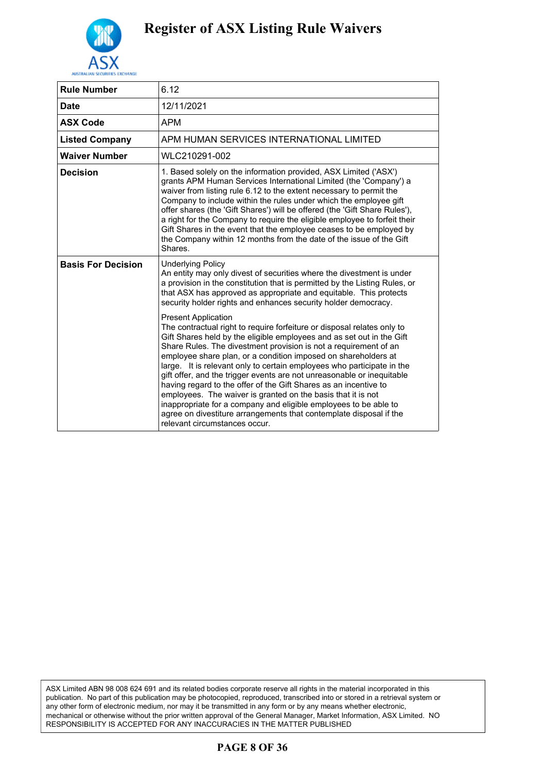

| 6.12                                                                                                                                                                                                                                                                                                                                                                                                                                                                                                                                                                                                                                                                                                                                                                                                                                                                                                                                                                                                                                                                                                              |
|-------------------------------------------------------------------------------------------------------------------------------------------------------------------------------------------------------------------------------------------------------------------------------------------------------------------------------------------------------------------------------------------------------------------------------------------------------------------------------------------------------------------------------------------------------------------------------------------------------------------------------------------------------------------------------------------------------------------------------------------------------------------------------------------------------------------------------------------------------------------------------------------------------------------------------------------------------------------------------------------------------------------------------------------------------------------------------------------------------------------|
| 12/11/2021                                                                                                                                                                                                                                                                                                                                                                                                                                                                                                                                                                                                                                                                                                                                                                                                                                                                                                                                                                                                                                                                                                        |
| <b>APM</b>                                                                                                                                                                                                                                                                                                                                                                                                                                                                                                                                                                                                                                                                                                                                                                                                                                                                                                                                                                                                                                                                                                        |
| APM HUMAN SERVICES INTERNATIONAL LIMITED                                                                                                                                                                                                                                                                                                                                                                                                                                                                                                                                                                                                                                                                                                                                                                                                                                                                                                                                                                                                                                                                          |
| WLC210291-002                                                                                                                                                                                                                                                                                                                                                                                                                                                                                                                                                                                                                                                                                                                                                                                                                                                                                                                                                                                                                                                                                                     |
| 1. Based solely on the information provided, ASX Limited ('ASX')<br>grants APM Human Services International Limited (the 'Company') a<br>waiver from listing rule 6.12 to the extent necessary to permit the<br>Company to include within the rules under which the employee gift<br>offer shares (the 'Gift Shares') will be offered (the 'Gift Share Rules'),<br>a right for the Company to require the eligible employee to forfeit their<br>Gift Shares in the event that the employee ceases to be employed by<br>the Company within 12 months from the date of the issue of the Gift<br>Shares.                                                                                                                                                                                                                                                                                                                                                                                                                                                                                                             |
| <b>Underlying Policy</b><br>An entity may only divest of securities where the divestment is under<br>a provision in the constitution that is permitted by the Listing Rules, or<br>that ASX has approved as appropriate and equitable. This protects<br>security holder rights and enhances security holder democracy.<br><b>Present Application</b><br>The contractual right to require forfeiture or disposal relates only to<br>Gift Shares held by the eligible employees and as set out in the Gift<br>Share Rules. The divestment provision is not a requirement of an<br>employee share plan, or a condition imposed on shareholders at<br>large. It is relevant only to certain employees who participate in the<br>gift offer, and the trigger events are not unreasonable or inequitable<br>having regard to the offer of the Gift Shares as an incentive to<br>employees. The waiver is granted on the basis that it is not<br>inappropriate for a company and eligible employees to be able to<br>agree on divestiture arrangements that contemplate disposal if the<br>relevant circumstances occur. |
|                                                                                                                                                                                                                                                                                                                                                                                                                                                                                                                                                                                                                                                                                                                                                                                                                                                                                                                                                                                                                                                                                                                   |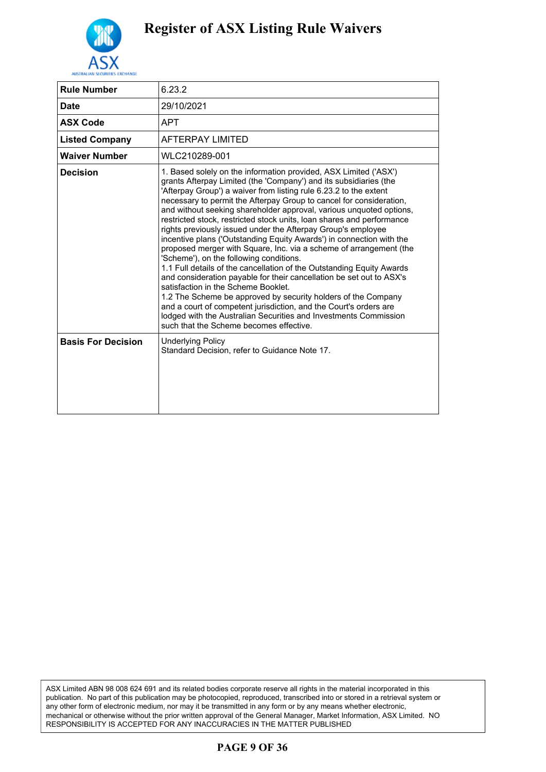

| <b>Rule Number</b>        | 6.23.2                                                                                                                                                                                                                                                                                                                                                                                                                                                                                                                                                                                                                                                                                                                                                                                                                                                                                                                                                                                                                                                                                                                                  |
|---------------------------|-----------------------------------------------------------------------------------------------------------------------------------------------------------------------------------------------------------------------------------------------------------------------------------------------------------------------------------------------------------------------------------------------------------------------------------------------------------------------------------------------------------------------------------------------------------------------------------------------------------------------------------------------------------------------------------------------------------------------------------------------------------------------------------------------------------------------------------------------------------------------------------------------------------------------------------------------------------------------------------------------------------------------------------------------------------------------------------------------------------------------------------------|
| <b>Date</b>               | 29/10/2021                                                                                                                                                                                                                                                                                                                                                                                                                                                                                                                                                                                                                                                                                                                                                                                                                                                                                                                                                                                                                                                                                                                              |
| <b>ASX Code</b>           | <b>APT</b>                                                                                                                                                                                                                                                                                                                                                                                                                                                                                                                                                                                                                                                                                                                                                                                                                                                                                                                                                                                                                                                                                                                              |
| <b>Listed Company</b>     | AFTERPAY LIMITED                                                                                                                                                                                                                                                                                                                                                                                                                                                                                                                                                                                                                                                                                                                                                                                                                                                                                                                                                                                                                                                                                                                        |
| <b>Waiver Number</b>      | WLC210289-001                                                                                                                                                                                                                                                                                                                                                                                                                                                                                                                                                                                                                                                                                                                                                                                                                                                                                                                                                                                                                                                                                                                           |
| <b>Decision</b>           | 1. Based solely on the information provided, ASX Limited ('ASX')<br>grants Afterpay Limited (the 'Company') and its subsidiaries (the<br>'Afterpay Group') a waiver from listing rule 6.23.2 to the extent<br>necessary to permit the Afterpay Group to cancel for consideration,<br>and without seeking shareholder approval, various unquoted options,<br>restricted stock, restricted stock units, loan shares and performance<br>rights previously issued under the Afterpay Group's employee<br>incentive plans ('Outstanding Equity Awards') in connection with the<br>proposed merger with Square, Inc. via a scheme of arrangement (the<br>'Scheme'), on the following conditions.<br>1.1 Full details of the cancellation of the Outstanding Equity Awards<br>and consideration payable for their cancellation be set out to ASX's<br>satisfaction in the Scheme Booklet.<br>1.2 The Scheme be approved by security holders of the Company<br>and a court of competent jurisdiction, and the Court's orders are<br>lodged with the Australian Securities and Investments Commission<br>such that the Scheme becomes effective. |
| <b>Basis For Decision</b> | <b>Underlying Policy</b><br>Standard Decision, refer to Guidance Note 17.                                                                                                                                                                                                                                                                                                                                                                                                                                                                                                                                                                                                                                                                                                                                                                                                                                                                                                                                                                                                                                                               |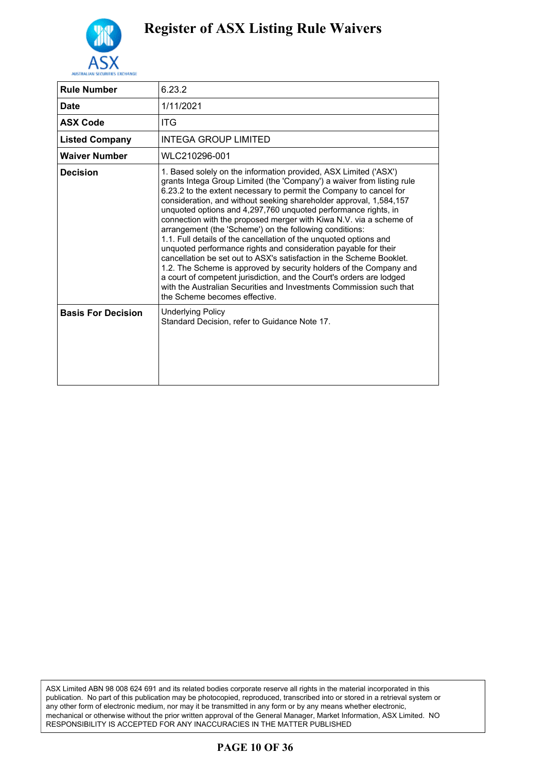

| <b>Rule Number</b>        | 6.23.2                                                                                                                                                                                                                                                                                                                                                                                                                                                                                                                                                                                                                                                                                                                                                                                                                                                                                                                                                          |
|---------------------------|-----------------------------------------------------------------------------------------------------------------------------------------------------------------------------------------------------------------------------------------------------------------------------------------------------------------------------------------------------------------------------------------------------------------------------------------------------------------------------------------------------------------------------------------------------------------------------------------------------------------------------------------------------------------------------------------------------------------------------------------------------------------------------------------------------------------------------------------------------------------------------------------------------------------------------------------------------------------|
| <b>Date</b>               | 1/11/2021                                                                                                                                                                                                                                                                                                                                                                                                                                                                                                                                                                                                                                                                                                                                                                                                                                                                                                                                                       |
| <b>ASX Code</b>           | <b>ITG</b>                                                                                                                                                                                                                                                                                                                                                                                                                                                                                                                                                                                                                                                                                                                                                                                                                                                                                                                                                      |
| <b>Listed Company</b>     | <b>INTEGA GROUP LIMITED</b>                                                                                                                                                                                                                                                                                                                                                                                                                                                                                                                                                                                                                                                                                                                                                                                                                                                                                                                                     |
| <b>Waiver Number</b>      | WLC210296-001                                                                                                                                                                                                                                                                                                                                                                                                                                                                                                                                                                                                                                                                                                                                                                                                                                                                                                                                                   |
| <b>Decision</b>           | 1. Based solely on the information provided, ASX Limited ('ASX')<br>grants Intega Group Limited (the 'Company') a waiver from listing rule<br>6.23.2 to the extent necessary to permit the Company to cancel for<br>consideration, and without seeking shareholder approval, 1,584,157<br>unquoted options and 4,297,760 unquoted performance rights, in<br>connection with the proposed merger with Kiwa N.V. via a scheme of<br>arrangement (the 'Scheme') on the following conditions:<br>1.1. Full details of the cancellation of the unquoted options and<br>unquoted performance rights and consideration payable for their<br>cancellation be set out to ASX's satisfaction in the Scheme Booklet.<br>1.2. The Scheme is approved by security holders of the Company and<br>a court of competent jurisdiction, and the Court's orders are lodged<br>with the Australian Securities and Investments Commission such that<br>the Scheme becomes effective. |
| <b>Basis For Decision</b> | <b>Underlying Policy</b><br>Standard Decision, refer to Guidance Note 17.                                                                                                                                                                                                                                                                                                                                                                                                                                                                                                                                                                                                                                                                                                                                                                                                                                                                                       |

ASX Limited ABN 98 008 624 691 and its related bodies corporate reserve all rights in the material incorporated in this publication. No part of this publication may be photocopied, reproduced, transcribed into or stored in a retrieval system or any other form of electronic medium, nor may it be transmitted in any form or by any means whether electronic, mechanical or otherwise without the prior written approval of the General Manager, Market Information, ASX Limited. NO RESPONSIBILITY IS ACCEPTED FOR ANY INACCURACIES IN THE MATTER PUBLISHED

## **PAGE 10 OF 36**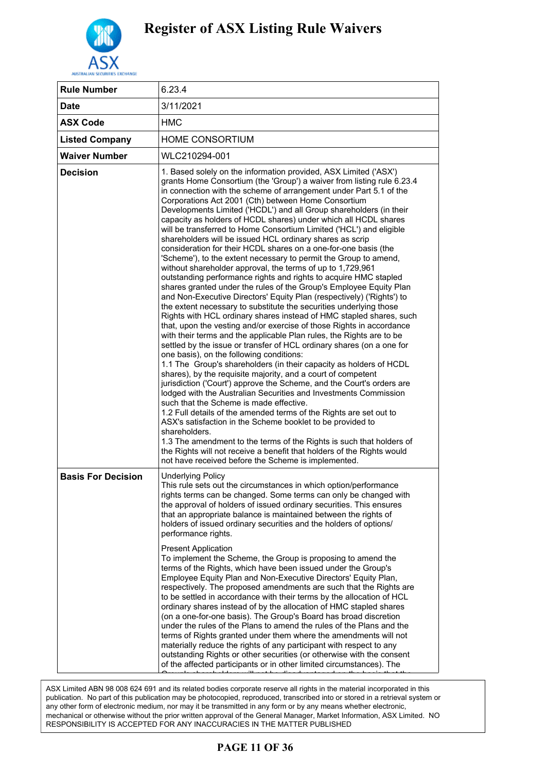

| <b>Rule Number</b>        | 6.23.4                                                                                                                                                                                                                                                                                                                                                                                                                                                                                                                                                                                                                                                                                                                                                                                                                                                                                                                                                                                                                                                                                                                                                                                                                                                                                                                                                                                                                                                                                                                                                                                                                                                                                                                                                                                                                                                                                                                                                                                                                                                                                    |
|---------------------------|-------------------------------------------------------------------------------------------------------------------------------------------------------------------------------------------------------------------------------------------------------------------------------------------------------------------------------------------------------------------------------------------------------------------------------------------------------------------------------------------------------------------------------------------------------------------------------------------------------------------------------------------------------------------------------------------------------------------------------------------------------------------------------------------------------------------------------------------------------------------------------------------------------------------------------------------------------------------------------------------------------------------------------------------------------------------------------------------------------------------------------------------------------------------------------------------------------------------------------------------------------------------------------------------------------------------------------------------------------------------------------------------------------------------------------------------------------------------------------------------------------------------------------------------------------------------------------------------------------------------------------------------------------------------------------------------------------------------------------------------------------------------------------------------------------------------------------------------------------------------------------------------------------------------------------------------------------------------------------------------------------------------------------------------------------------------------------------------|
| <b>Date</b>               | 3/11/2021                                                                                                                                                                                                                                                                                                                                                                                                                                                                                                                                                                                                                                                                                                                                                                                                                                                                                                                                                                                                                                                                                                                                                                                                                                                                                                                                                                                                                                                                                                                                                                                                                                                                                                                                                                                                                                                                                                                                                                                                                                                                                 |
| <b>ASX Code</b>           | <b>HMC</b>                                                                                                                                                                                                                                                                                                                                                                                                                                                                                                                                                                                                                                                                                                                                                                                                                                                                                                                                                                                                                                                                                                                                                                                                                                                                                                                                                                                                                                                                                                                                                                                                                                                                                                                                                                                                                                                                                                                                                                                                                                                                                |
| <b>Listed Company</b>     | <b>HOME CONSORTIUM</b>                                                                                                                                                                                                                                                                                                                                                                                                                                                                                                                                                                                                                                                                                                                                                                                                                                                                                                                                                                                                                                                                                                                                                                                                                                                                                                                                                                                                                                                                                                                                                                                                                                                                                                                                                                                                                                                                                                                                                                                                                                                                    |
| <b>Waiver Number</b>      | WLC210294-001                                                                                                                                                                                                                                                                                                                                                                                                                                                                                                                                                                                                                                                                                                                                                                                                                                                                                                                                                                                                                                                                                                                                                                                                                                                                                                                                                                                                                                                                                                                                                                                                                                                                                                                                                                                                                                                                                                                                                                                                                                                                             |
| <b>Decision</b>           | 1. Based solely on the information provided, ASX Limited ('ASX')<br>grants Home Consortium (the 'Group') a waiver from listing rule 6.23.4<br>in connection with the scheme of arrangement under Part 5.1 of the<br>Corporations Act 2001 (Cth) between Home Consortium<br>Developments Limited ('HCDL') and all Group shareholders (in their<br>capacity as holders of HCDL shares) under which all HCDL shares<br>will be transferred to Home Consortium Limited ('HCL') and eligible<br>shareholders will be issued HCL ordinary shares as scrip<br>consideration for their HCDL shares on a one-for-one basis (the<br>'Scheme'), to the extent necessary to permit the Group to amend,<br>without shareholder approval, the terms of up to 1,729,961<br>outstanding performance rights and rights to acquire HMC stapled<br>shares granted under the rules of the Group's Employee Equity Plan<br>and Non-Executive Directors' Equity Plan (respectively) ('Rights') to<br>the extent necessary to substitute the securities underlying those<br>Rights with HCL ordinary shares instead of HMC stapled shares, such<br>that, upon the vesting and/or exercise of those Rights in accordance<br>with their terms and the applicable Plan rules, the Rights are to be<br>settled by the issue or transfer of HCL ordinary shares (on a one for<br>one basis), on the following conditions:<br>1.1 The Group's shareholders (in their capacity as holders of HCDL<br>shares), by the requisite majority, and a court of competent<br>jurisdiction ('Court') approve the Scheme, and the Court's orders are<br>lodged with the Australian Securities and Investments Commission<br>such that the Scheme is made effective.<br>1.2 Full details of the amended terms of the Rights are set out to<br>ASX's satisfaction in the Scheme booklet to be provided to<br>shareholders.<br>1.3 The amendment to the terms of the Rights is such that holders of<br>the Rights will not receive a benefit that holders of the Rights would<br>not have received before the Scheme is implemented. |
| <b>Basis For Decision</b> | <b>Underlying Policy</b><br>This rule sets out the circumstances in which option/performance<br>rights terms can be changed. Some terms can only be changed with<br>the approval of holders of issued ordinary securities. This ensures<br>that an appropriate balance is maintained between the rights of<br>holders of issued ordinary securities and the holders of options/<br>performance rights.<br><b>Present Application</b><br>To implement the Scheme, the Group is proposing to amend the<br>terms of the Rights, which have been issued under the Group's<br>Employee Equity Plan and Non-Executive Directors' Equity Plan,<br>respectively. The proposed amendments are such that the Rights are<br>to be settled in accordance with their terms by the allocation of HCL<br>ordinary shares instead of by the allocation of HMC stapled shares<br>(on a one-for-one basis). The Group's Board has broad discretion<br>under the rules of the Plans to amend the rules of the Plans and the<br>terms of Rights granted under them where the amendments will not<br>materially reduce the rights of any participant with respect to any<br>outstanding Rights or other securities (or otherwise with the consent<br>of the affected participants or in other limited circumstances). The                                                                                                                                                                                                                                                                                                                                                                                                                                                                                                                                                                                                                                                                                                                                                                                      |

.<br>ASX Limited ABN 98 008 624 691 and its related bodies corporate reserve all rights in the material incorporated in this publication. No part of this publication may be photocopied, reproduced, transcribed into or stored in a retrieval system or publication. experience in the part of the pashed on they see photocopical, represence, removement and on other in a removement of any other form of electronic, mechanical or otherwise without the prior written approval of the General Manager, Market Information, ASX Limited. NO RESPONSIBILITY IS ACCEPTED FOR ANY INACCURACIES IN THE MATTER PUBLISHED

## **PAGE 11 OF 36**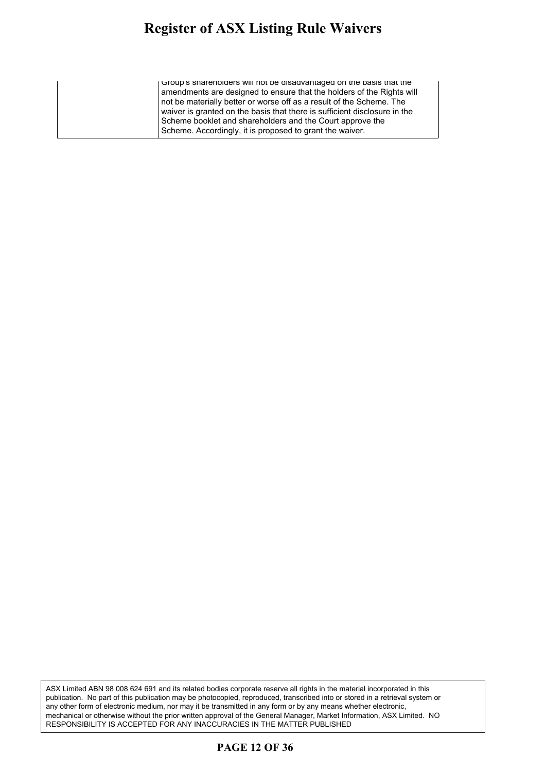#### **Register of ASX Listing Rule Waivers**  $\rho$ ister of ASV Listing Rule Waivers gunder the rules of the rules of the rules of the Plans and the Plans and the Plans and the Plans and the Plans and the Plans and the Plans and the Plans and the Plans and the Plans and the Plans and the Plans and the Plan

Group's shareholders will not be disadvantaged on the basis that the amendments are designed to ensure that the holders of the Rights will not be materially better or worse off as a result of the Scheme. The waiver is granted on the basis that there is sufficient disclosure in the Scheme booklet and shareholders and the Court approve the Scheme. Accordingly, it is proposed to grant the waiver.

ASX Limited ABN 98 008 624 691 and its related bodies corporate reserve all rights in the material incorporated in this publication. No part of this publication may be photocopied, reproduced, transcribed into or stored in a retrieval system or any other form of electronic medium, nor may it be transmitted in any form or by any means whether electronic, mechanical or otherwise without the prior written approval of the General Manager, Market Information, ASX Limited. NO RESPONSIBILITY IS ACCEPTED FOR ANY INACCURACIES IN THE MATTER PUBLISHED

## **PAGE 12 OF 36**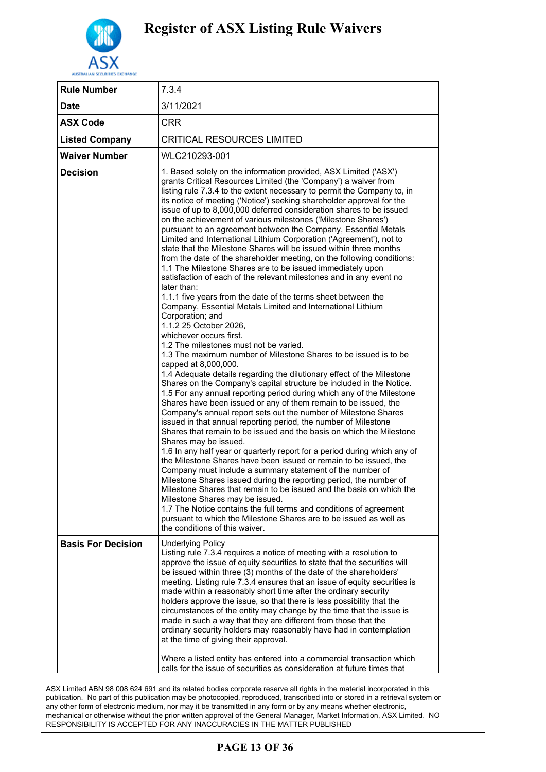

| <b>Rule Number</b>        | 7.3.4                                                                                                                                                                                                                                                                                                                                                                                                                                                                                                                                                                                                                                                                                                                                                                                                                                                                                                                                                                                                                                                                                                                                                                                                                                                                                                                                                                                                                                                                                                                                                                                                                                                                                                                                                                                                                                                                                                                                                                                                                                                                                                                                                                                                                                                                                                                                          |
|---------------------------|------------------------------------------------------------------------------------------------------------------------------------------------------------------------------------------------------------------------------------------------------------------------------------------------------------------------------------------------------------------------------------------------------------------------------------------------------------------------------------------------------------------------------------------------------------------------------------------------------------------------------------------------------------------------------------------------------------------------------------------------------------------------------------------------------------------------------------------------------------------------------------------------------------------------------------------------------------------------------------------------------------------------------------------------------------------------------------------------------------------------------------------------------------------------------------------------------------------------------------------------------------------------------------------------------------------------------------------------------------------------------------------------------------------------------------------------------------------------------------------------------------------------------------------------------------------------------------------------------------------------------------------------------------------------------------------------------------------------------------------------------------------------------------------------------------------------------------------------------------------------------------------------------------------------------------------------------------------------------------------------------------------------------------------------------------------------------------------------------------------------------------------------------------------------------------------------------------------------------------------------------------------------------------------------------------------------------------------------|
| <b>Date</b>               | 3/11/2021                                                                                                                                                                                                                                                                                                                                                                                                                                                                                                                                                                                                                                                                                                                                                                                                                                                                                                                                                                                                                                                                                                                                                                                                                                                                                                                                                                                                                                                                                                                                                                                                                                                                                                                                                                                                                                                                                                                                                                                                                                                                                                                                                                                                                                                                                                                                      |
| <b>ASX Code</b>           | <b>CRR</b>                                                                                                                                                                                                                                                                                                                                                                                                                                                                                                                                                                                                                                                                                                                                                                                                                                                                                                                                                                                                                                                                                                                                                                                                                                                                                                                                                                                                                                                                                                                                                                                                                                                                                                                                                                                                                                                                                                                                                                                                                                                                                                                                                                                                                                                                                                                                     |
| <b>Listed Company</b>     | <b>CRITICAL RESOURCES LIMITED</b>                                                                                                                                                                                                                                                                                                                                                                                                                                                                                                                                                                                                                                                                                                                                                                                                                                                                                                                                                                                                                                                                                                                                                                                                                                                                                                                                                                                                                                                                                                                                                                                                                                                                                                                                                                                                                                                                                                                                                                                                                                                                                                                                                                                                                                                                                                              |
| <b>Waiver Number</b>      | WLC210293-001                                                                                                                                                                                                                                                                                                                                                                                                                                                                                                                                                                                                                                                                                                                                                                                                                                                                                                                                                                                                                                                                                                                                                                                                                                                                                                                                                                                                                                                                                                                                                                                                                                                                                                                                                                                                                                                                                                                                                                                                                                                                                                                                                                                                                                                                                                                                  |
| <b>Decision</b>           | 1. Based solely on the information provided, ASX Limited ('ASX')<br>grants Critical Resources Limited (the 'Company') a waiver from<br>listing rule 7.3.4 to the extent necessary to permit the Company to, in<br>its notice of meeting ('Notice') seeking shareholder approval for the<br>issue of up to 8,000,000 deferred consideration shares to be issued<br>on the achievement of various milestones ('Milestone Shares')<br>pursuant to an agreement between the Company, Essential Metals<br>Limited and International Lithium Corporation ('Agreement'), not to<br>state that the Milestone Shares will be issued within three months<br>from the date of the shareholder meeting, on the following conditions:<br>1.1 The Milestone Shares are to be issued immediately upon<br>satisfaction of each of the relevant milestones and in any event no<br>later than:<br>1.1.1 five years from the date of the terms sheet between the<br>Company, Essential Metals Limited and International Lithium<br>Corporation; and<br>1.1.2 25 October 2026,<br>whichever occurs first.<br>1.2 The milestones must not be varied.<br>1.3 The maximum number of Milestone Shares to be issued is to be<br>capped at 8,000,000.<br>1.4 Adequate details regarding the dilutionary effect of the Milestone<br>Shares on the Company's capital structure be included in the Notice.<br>1.5 For any annual reporting period during which any of the Milestone<br>Shares have been issued or any of them remain to be issued, the<br>Company's annual report sets out the number of Milestone Shares<br>issued in that annual reporting period, the number of Milestone<br>Shares that remain to be issued and the basis on which the Milestone<br>Shares may be issued.<br>1.6 In any half year or quarterly report for a period during which any of<br>the Milestone Shares have been issued or remain to be issued, the<br>Company must include a summary statement of the number of<br>Milestone Shares issued during the reporting period, the number of<br>Milestone Shares that remain to be issued and the basis on which the<br>Milestone Shares may be issued.<br>1.7 The Notice contains the full terms and conditions of agreement<br>pursuant to which the Milestone Shares are to be issued as well as<br>the conditions of this waiver. |
| <b>Basis For Decision</b> | <b>Underlying Policy</b><br>Listing rule 7.3.4 requires a notice of meeting with a resolution to<br>approve the issue of equity securities to state that the securities will<br>be issued within three (3) months of the date of the shareholders'<br>meeting. Listing rule 7.3.4 ensures that an issue of equity securities is<br>made within a reasonably short time after the ordinary security<br>holders approve the issue, so that there is less possibility that the<br>circumstances of the entity may change by the time that the issue is<br>made in such a way that they are different from those that the<br>ordinary security holders may reasonably have had in contemplation<br>at the time of giving their approval.                                                                                                                                                                                                                                                                                                                                                                                                                                                                                                                                                                                                                                                                                                                                                                                                                                                                                                                                                                                                                                                                                                                                                                                                                                                                                                                                                                                                                                                                                                                                                                                                           |
|                           | Where a listed entity has entered into a commercial transaction which<br>calls for the issue of securities as consideration at future times that                                                                                                                                                                                                                                                                                                                                                                                                                                                                                                                                                                                                                                                                                                                                                                                                                                                                                                                                                                                                                                                                                                                                                                                                                                                                                                                                                                                                                                                                                                                                                                                                                                                                                                                                                                                                                                                                                                                                                                                                                                                                                                                                                                                               |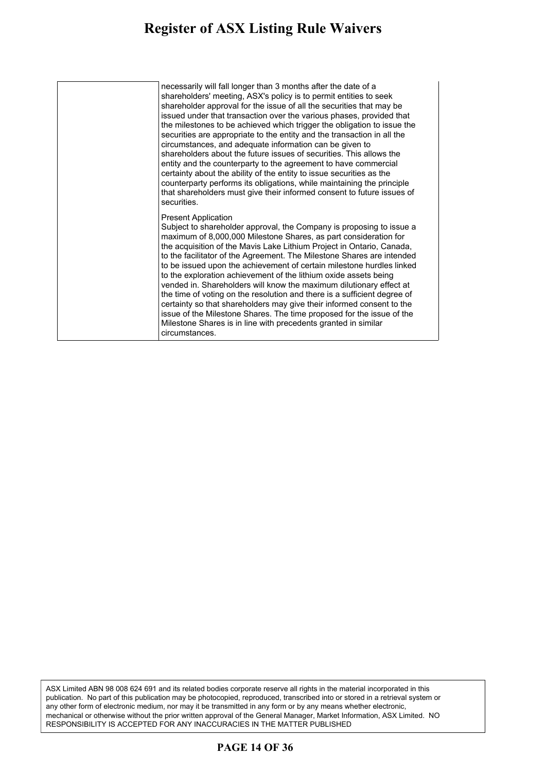### **Register of ASX Listing Rule Waivers** gister of ASA Listing Kule Waivers ordinary security holders may reasonably have had in contemplations  $\mathcal{L}_1$

| necessarily will fall longer than 3 months after the date of a<br>shareholders' meeting, ASX's policy is to permit entities to seek<br>shareholder approval for the issue of all the securities that may be<br>issued under that transaction over the various phases, provided that<br>the milestones to be achieved which trigger the obligation to issue the<br>securities are appropriate to the entity and the transaction in all the<br>circumstances, and adequate information can be given to<br>shareholders about the future issues of securities. This allows the<br>entity and the counterparty to the agreement to have commercial<br>certainty about the ability of the entity to issue securities as the<br>counterparty performs its obligations, while maintaining the principle<br>that shareholders must give their informed consent to future issues of<br>securities. |
|-------------------------------------------------------------------------------------------------------------------------------------------------------------------------------------------------------------------------------------------------------------------------------------------------------------------------------------------------------------------------------------------------------------------------------------------------------------------------------------------------------------------------------------------------------------------------------------------------------------------------------------------------------------------------------------------------------------------------------------------------------------------------------------------------------------------------------------------------------------------------------------------|
| <b>Present Application</b><br>Subject to shareholder approval, the Company is proposing to issue a<br>maximum of 8,000,000 Milestone Shares, as part consideration for<br>the acquisition of the Mavis Lake Lithium Project in Ontario, Canada,<br>to the facilitator of the Agreement. The Milestone Shares are intended<br>to be issued upon the achievement of certain milestone hurdles linked<br>to the exploration achievement of the lithium oxide assets being<br>vended in. Shareholders will know the maximum dilutionary effect at<br>the time of voting on the resolution and there is a sufficient degree of<br>certainty so that shareholders may give their informed consent to the<br>issue of the Milestone Shares. The time proposed for the issue of the<br>Milestone Shares is in line with precedents granted in similar<br>circumstances.                           |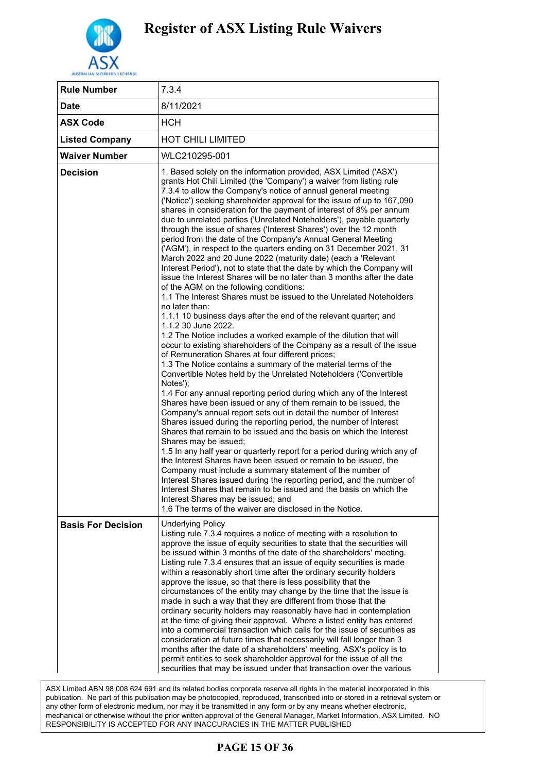

| <b>Rule Number</b>        | 7.3.4                                                                                                                                                                                                                                                                                                                                                                                                                                                                                                                                                                                                                                                                                                                                                                                                                                                                                                                                                                                                                                                                                                                                                                                                                                                                                                                                                                                                                                                                                                                                                                                                                                                                                                                                                                                                                                                                                                                                                                                                                                                                                                                                                                                                                                                                                                            |
|---------------------------|------------------------------------------------------------------------------------------------------------------------------------------------------------------------------------------------------------------------------------------------------------------------------------------------------------------------------------------------------------------------------------------------------------------------------------------------------------------------------------------------------------------------------------------------------------------------------------------------------------------------------------------------------------------------------------------------------------------------------------------------------------------------------------------------------------------------------------------------------------------------------------------------------------------------------------------------------------------------------------------------------------------------------------------------------------------------------------------------------------------------------------------------------------------------------------------------------------------------------------------------------------------------------------------------------------------------------------------------------------------------------------------------------------------------------------------------------------------------------------------------------------------------------------------------------------------------------------------------------------------------------------------------------------------------------------------------------------------------------------------------------------------------------------------------------------------------------------------------------------------------------------------------------------------------------------------------------------------------------------------------------------------------------------------------------------------------------------------------------------------------------------------------------------------------------------------------------------------------------------------------------------------------------------------------------------------|
| <b>Date</b>               | 8/11/2021                                                                                                                                                                                                                                                                                                                                                                                                                                                                                                                                                                                                                                                                                                                                                                                                                                                                                                                                                                                                                                                                                                                                                                                                                                                                                                                                                                                                                                                                                                                                                                                                                                                                                                                                                                                                                                                                                                                                                                                                                                                                                                                                                                                                                                                                                                        |
| <b>ASX Code</b>           | HCH                                                                                                                                                                                                                                                                                                                                                                                                                                                                                                                                                                                                                                                                                                                                                                                                                                                                                                                                                                                                                                                                                                                                                                                                                                                                                                                                                                                                                                                                                                                                                                                                                                                                                                                                                                                                                                                                                                                                                                                                                                                                                                                                                                                                                                                                                                              |
| <b>Listed Company</b>     | <b>HOT CHILI LIMITED</b>                                                                                                                                                                                                                                                                                                                                                                                                                                                                                                                                                                                                                                                                                                                                                                                                                                                                                                                                                                                                                                                                                                                                                                                                                                                                                                                                                                                                                                                                                                                                                                                                                                                                                                                                                                                                                                                                                                                                                                                                                                                                                                                                                                                                                                                                                         |
| <b>Waiver Number</b>      | WLC210295-001                                                                                                                                                                                                                                                                                                                                                                                                                                                                                                                                                                                                                                                                                                                                                                                                                                                                                                                                                                                                                                                                                                                                                                                                                                                                                                                                                                                                                                                                                                                                                                                                                                                                                                                                                                                                                                                                                                                                                                                                                                                                                                                                                                                                                                                                                                    |
| <b>Decision</b>           | 1. Based solely on the information provided, ASX Limited ('ASX')<br>grants Hot Chili Limited (the 'Company') a waiver from listing rule<br>7.3.4 to allow the Company's notice of annual general meeting<br>('Notice') seeking shareholder approval for the issue of up to 167,090<br>shares in consideration for the payment of interest of 8% per annum<br>due to unrelated parties ('Unrelated Noteholders'), payable quarterly<br>through the issue of shares ('Interest Shares') over the 12 month<br>period from the date of the Company's Annual General Meeting<br>('AGM'), in respect to the quarters ending on 31 December 2021, 31<br>March 2022 and 20 June 2022 (maturity date) (each a 'Relevant<br>Interest Period'), not to state that the date by which the Company will<br>issue the Interest Shares will be no later than 3 months after the date<br>of the AGM on the following conditions:<br>1.1 The Interest Shares must be issued to the Unrelated Noteholders<br>no later than:<br>1.1.1 10 business days after the end of the relevant quarter; and<br>1.1.2 30 June 2022.<br>1.2 The Notice includes a worked example of the dilution that will<br>occur to existing shareholders of the Company as a result of the issue<br>of Remuneration Shares at four different prices;<br>1.3 The Notice contains a summary of the material terms of the<br>Convertible Notes held by the Unrelated Noteholders ('Convertible<br>Notes');<br>1.4 For any annual reporting period during which any of the Interest<br>Shares have been issued or any of them remain to be issued, the<br>Company's annual report sets out in detail the number of Interest<br>Shares issued during the reporting period, the number of Interest<br>Shares that remain to be issued and the basis on which the Interest<br>Shares may be issued;<br>1.5 In any half year or quarterly report for a period during which any of<br>the Interest Shares have been issued or remain to be issued, the<br>Company must include a summary statement of the number of<br>Interest Shares issued during the reporting period, and the number of<br>Interest Shares that remain to be issued and the basis on which the<br>Interest Shares may be issued; and<br>1.6 The terms of the waiver are disclosed in the Notice. |
| <b>Basis For Decision</b> | <b>Underlying Policy</b><br>Listing rule 7.3.4 requires a notice of meeting with a resolution to<br>approve the issue of equity securities to state that the securities will<br>be issued within 3 months of the date of the shareholders' meeting.<br>Listing rule 7.3.4 ensures that an issue of equity securities is made<br>within a reasonably short time after the ordinary security holders<br>approve the issue, so that there is less possibility that the<br>circumstances of the entity may change by the time that the issue is<br>made in such a way that they are different from those that the<br>ordinary security holders may reasonably have had in contemplation<br>at the time of giving their approval. Where a listed entity has entered<br>into a commercial transaction which calls for the issue of securities as<br>consideration at future times that necessarily will fall longer than 3<br>months after the date of a shareholders' meeting, ASX's policy is to<br>permit entities to seek shareholder approval for the issue of all the<br>securities that may be issued under that transaction over the various                                                                                                                                                                                                                                                                                                                                                                                                                                                                                                                                                                                                                                                                                                                                                                                                                                                                                                                                                                                                                                                                                                                                                                   |

ASX Limited ABN 98 008 624 691 and its related bodies corporate reserve all rights in the material incorporated in this publication. No part of this publication may be photocopied, reproduced, transcribed into or stored in a retrieval system or any other form of electronic medium, nor may it be transmitted in any form or by any means whether electronic, mechanical or otherwise without the prior written approval of the General Manager, Market Information, ASX Limited. NO RESPONSIBILITY IS ACCEPTED FOR ANY INACCURACIES IN THE MATTER PUBLISHED

## **PAGE 15 OF 36**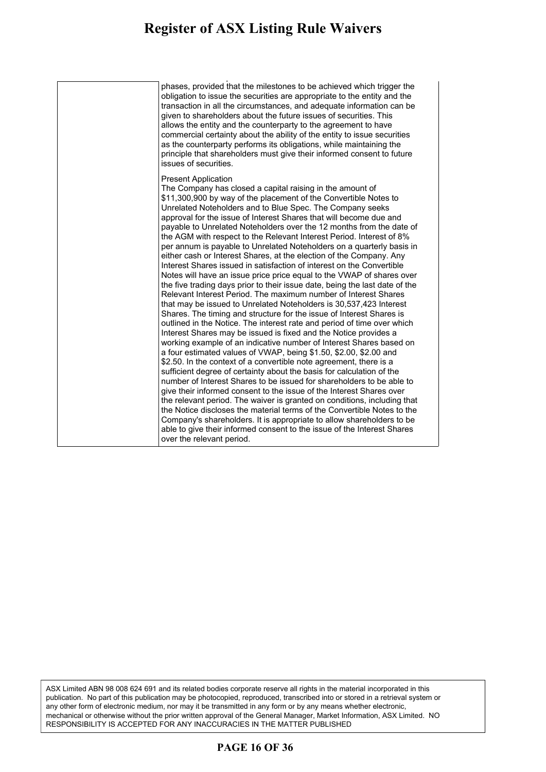### **Register of ASX Listing Rule Waivers** gister of ASX Listing Rule Waivers into a commercial transaction which calls for the issue of securities as  $\mathcal{L}_1$

| phases, provided that the milestones to be achieved which trigger the<br>obligation to issue the securities are appropriate to the entity and the<br>transaction in all the circumstances, and adequate information can be<br>given to shareholders about the future issues of securities. This<br>allows the entity and the counterparty to the agreement to have<br>commercial certainty about the ability of the entity to issue securities<br>as the counterparty performs its obligations, while maintaining the<br>principle that shareholders must give their informed consent to future<br>issues of securities.                                                                                                                                                                                                                                                                                                                                                                                                                                                                                                                                                                                                                                                                                                                                                                                                                                                                                                                                                                                                                                                                                                                                                                                                                                                                                                                                                            |
|-------------------------------------------------------------------------------------------------------------------------------------------------------------------------------------------------------------------------------------------------------------------------------------------------------------------------------------------------------------------------------------------------------------------------------------------------------------------------------------------------------------------------------------------------------------------------------------------------------------------------------------------------------------------------------------------------------------------------------------------------------------------------------------------------------------------------------------------------------------------------------------------------------------------------------------------------------------------------------------------------------------------------------------------------------------------------------------------------------------------------------------------------------------------------------------------------------------------------------------------------------------------------------------------------------------------------------------------------------------------------------------------------------------------------------------------------------------------------------------------------------------------------------------------------------------------------------------------------------------------------------------------------------------------------------------------------------------------------------------------------------------------------------------------------------------------------------------------------------------------------------------------------------------------------------------------------------------------------------------|
| <b>Present Application</b><br>The Company has closed a capital raising in the amount of<br>\$11,300,900 by way of the placement of the Convertible Notes to<br>Unrelated Noteholders and to Blue Spec. The Company seeks<br>approval for the issue of Interest Shares that will become due and<br>payable to Unrelated Noteholders over the 12 months from the date of<br>the AGM with respect to the Relevant Interest Period. Interest of 8%<br>per annum is payable to Unrelated Noteholders on a quarterly basis in<br>either cash or Interest Shares, at the election of the Company. Any<br>Interest Shares issued in satisfaction of interest on the Convertible<br>Notes will have an issue price price equal to the VWAP of shares over<br>the five trading days prior to their issue date, being the last date of the<br>Relevant Interest Period. The maximum number of Interest Shares<br>that may be issued to Unrelated Noteholders is 30,537,423 Interest<br>Shares. The timing and structure for the issue of Interest Shares is<br>outlined in the Notice. The interest rate and period of time over which<br>Interest Shares may be issued is fixed and the Notice provides a<br>working example of an indicative number of Interest Shares based on<br>a four estimated values of VWAP, being \$1.50, \$2.00, \$2.00 and<br>\$2.50. In the context of a convertible note agreement, there is a<br>sufficient degree of certainty about the basis for calculation of the<br>number of Interest Shares to be issued for shareholders to be able to<br>give their informed consent to the issue of the Interest Shares over<br>the relevant period. The waiver is granted on conditions, including that<br>the Notice discloses the material terms of the Convertible Notes to the<br>Company's shareholders. It is appropriate to allow shareholders to be<br>able to give their informed consent to the issue of the Interest Shares<br>over the relevant period. |

ASX Limited ABN 98 008 624 691 and its related bodies corporate reserve all rights in the material incorporated in this publication. No part of this publication may be photocopied, reproduced, transcribed into or stored in a retrieval system or any other form of electronic medium, nor may it be transmitted in any form or by any means whether electronic, mechanical or otherwise without the prior written approval of the General Manager, Market Information, ASX Limited. NO RESPONSIBILITY IS ACCEPTED FOR ANY INACCURACIES IN THE MATTER PUBLISHED

### **PAGE 16 OF 36**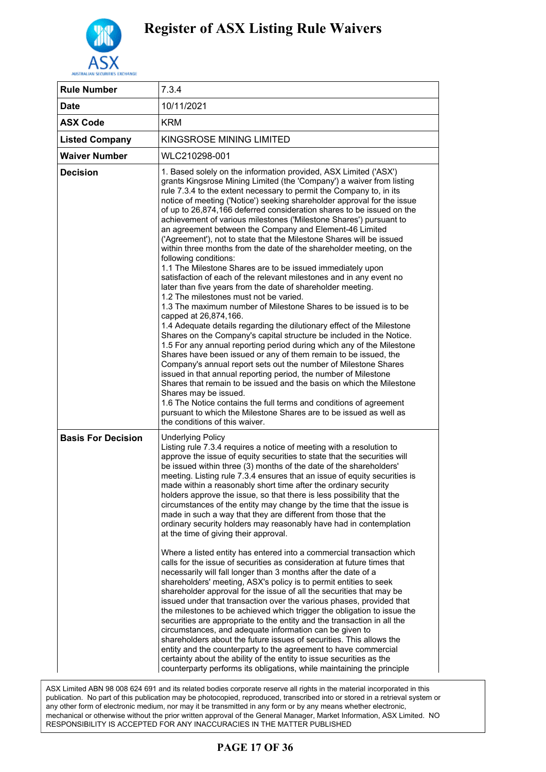

| <b>Rule Number</b>        | 7.3.4                                                                                                                                                                                                                                                                                                                                                                                                                                                                                                                                                                                                                                                                                                                                                                                                                                                                                                                                                                                                                                                                                                                                                                                                                                                                                                                                                                                                                                                                                                                                                                                                                                                                                                                                        |
|---------------------------|----------------------------------------------------------------------------------------------------------------------------------------------------------------------------------------------------------------------------------------------------------------------------------------------------------------------------------------------------------------------------------------------------------------------------------------------------------------------------------------------------------------------------------------------------------------------------------------------------------------------------------------------------------------------------------------------------------------------------------------------------------------------------------------------------------------------------------------------------------------------------------------------------------------------------------------------------------------------------------------------------------------------------------------------------------------------------------------------------------------------------------------------------------------------------------------------------------------------------------------------------------------------------------------------------------------------------------------------------------------------------------------------------------------------------------------------------------------------------------------------------------------------------------------------------------------------------------------------------------------------------------------------------------------------------------------------------------------------------------------------|
| <b>Date</b>               | 10/11/2021                                                                                                                                                                                                                                                                                                                                                                                                                                                                                                                                                                                                                                                                                                                                                                                                                                                                                                                                                                                                                                                                                                                                                                                                                                                                                                                                                                                                                                                                                                                                                                                                                                                                                                                                   |
| <b>ASX Code</b>           | <b>KRM</b>                                                                                                                                                                                                                                                                                                                                                                                                                                                                                                                                                                                                                                                                                                                                                                                                                                                                                                                                                                                                                                                                                                                                                                                                                                                                                                                                                                                                                                                                                                                                                                                                                                                                                                                                   |
| <b>Listed Company</b>     | KINGSROSE MINING LIMITED                                                                                                                                                                                                                                                                                                                                                                                                                                                                                                                                                                                                                                                                                                                                                                                                                                                                                                                                                                                                                                                                                                                                                                                                                                                                                                                                                                                                                                                                                                                                                                                                                                                                                                                     |
| <b>Waiver Number</b>      | WLC210298-001                                                                                                                                                                                                                                                                                                                                                                                                                                                                                                                                                                                                                                                                                                                                                                                                                                                                                                                                                                                                                                                                                                                                                                                                                                                                                                                                                                                                                                                                                                                                                                                                                                                                                                                                |
| <b>Decision</b>           | 1. Based solely on the information provided, ASX Limited ('ASX')<br>grants Kingsrose Mining Limited (the 'Company') a waiver from listing<br>rule 7.3.4 to the extent necessary to permit the Company to, in its<br>notice of meeting ('Notice') seeking shareholder approval for the issue<br>of up to 26,874,166 deferred consideration shares to be issued on the<br>achievement of various milestones ('Milestone Shares') pursuant to<br>an agreement between the Company and Element-46 Limited<br>('Agreement'), not to state that the Milestone Shares will be issued<br>within three months from the date of the shareholder meeting, on the<br>following conditions:<br>1.1 The Milestone Shares are to be issued immediately upon<br>satisfaction of each of the relevant milestones and in any event no<br>later than five years from the date of shareholder meeting.<br>1.2 The milestones must not be varied.<br>1.3 The maximum number of Milestone Shares to be issued is to be<br>capped at 26,874,166.<br>1.4 Adequate details regarding the dilutionary effect of the Milestone<br>Shares on the Company's capital structure be included in the Notice.<br>1.5 For any annual reporting period during which any of the Milestone<br>Shares have been issued or any of them remain to be issued, the<br>Company's annual report sets out the number of Milestone Shares<br>issued in that annual reporting period, the number of Milestone<br>Shares that remain to be issued and the basis on which the Milestone<br>Shares may be issued.<br>1.6 The Notice contains the full terms and conditions of agreement<br>pursuant to which the Milestone Shares are to be issued as well as<br>the conditions of this waiver. |
| <b>Basis For Decision</b> | <b>Underlying Policy</b><br>Listing rule 7.3.4 requires a notice of meeting with a resolution to<br>approve the issue of equity securities to state that the securities will<br>be issued within three (3) months of the date of the shareholders'<br>meeting. Listing rule 7.3.4 ensures that an issue of equity securities is<br>made within a reasonably short time after the ordinary security<br>holders approve the issue, so that there is less possibility that the<br>circumstances of the entity may change by the time that the issue is<br>made in such a way that they are different from those that the<br>ordinary security holders may reasonably have had in contemplation<br>at the time of giving their approval.<br>Where a listed entity has entered into a commercial transaction which<br>calls for the issue of securities as consideration at future times that<br>necessarily will fall longer than 3 months after the date of a<br>shareholders' meeting, ASX's policy is to permit entities to seek<br>shareholder approval for the issue of all the securities that may be<br>issued under that transaction over the various phases, provided that<br>the milestones to be achieved which trigger the obligation to issue the<br>securities are appropriate to the entity and the transaction in all the<br>circumstances, and adequate information can be given to<br>shareholders about the future issues of securities. This allows the<br>entity and the counterparty to the agreement to have commercial<br>certainty about the ability of the entity to issue securities as the<br>counterparty performs its obligations, while maintaining the principle                                                 |

ASX Limited ABN 98 008 624 691 and its related bodies corporate reserve all rights in the material incorporated in this publication. No part of this publication may be photocopied, reproduced, transcribed into or stored in a retrieval system or any other form of electronic medium, nor may it be transmitted in any form or by any means whether electronic, mechanical or otherwise without the prior written approval of the General Manager, Market Information, ASX Limited. NO RESPONSIBILITY IS ACCEPTED FOR ANY INACCURACIES IN THE MATTER PUBLISHED

## **PAGE 17 OF 36**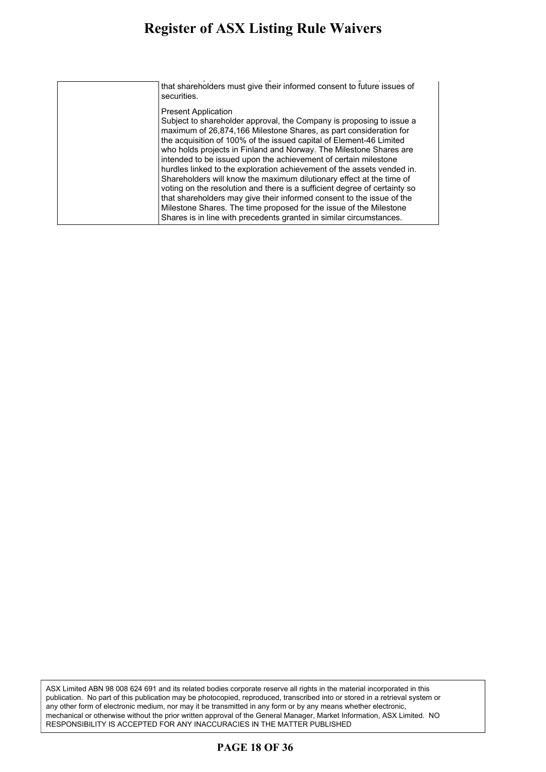### **Register of ASX Listing Rule Waivers** gister of ASA Listing Rule Waivers circumstances, and adequate information can be given to

| that shareholders must give their informed consent to future issues of<br>securities.                                                                                                                                                                                                                                                                                                                                                                                                                                                                                                                                                                                                                                                                                                                                                        |
|----------------------------------------------------------------------------------------------------------------------------------------------------------------------------------------------------------------------------------------------------------------------------------------------------------------------------------------------------------------------------------------------------------------------------------------------------------------------------------------------------------------------------------------------------------------------------------------------------------------------------------------------------------------------------------------------------------------------------------------------------------------------------------------------------------------------------------------------|
| <b>Present Application</b><br>Subject to shareholder approval, the Company is proposing to issue a<br>maximum of 26,874,166 Milestone Shares, as part consideration for<br>the acquisition of 100% of the issued capital of Element-46 Limited<br>who holds projects in Finland and Norway. The Milestone Shares are<br>intended to be issued upon the achievement of certain milestone<br>hurdles linked to the exploration achievement of the assets vended in.<br>Shareholders will know the maximum dilutionary effect at the time of<br>voting on the resolution and there is a sufficient degree of certainty so<br>that shareholders may give their informed consent to the issue of the<br>Milestone Shares. The time proposed for the issue of the Milestone<br>Shares is in line with precedents granted in similar circumstances. |
|                                                                                                                                                                                                                                                                                                                                                                                                                                                                                                                                                                                                                                                                                                                                                                                                                                              |

ASX Limited ABN 98 008 624 691 and its related bodies corporate reserve all rights in the material incorporated in this publication. No part of this publication may be photocopied, reproduced, transcribed into or stored in a retrieval system or any other form of electronic medium, nor may it be transmitted in any form or by any means whether electronic, mechanical or otherwise without the prior written approval of the General Manager, Market Information, ASX Limited. NO RESPONSIBILITY IS ACCEPTED FOR ANY INACCURACIES IN THE MATTER PUBLISHED

### **PAGE 18 OF 36**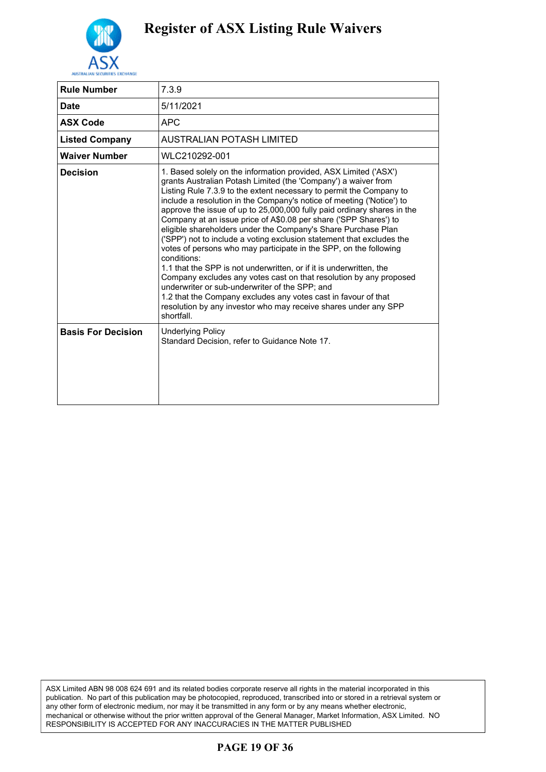

| <b>Rule Number</b>        | 7.3.9                                                                                                                                                                                                                                                                                                                                                                                                                                                                                                                                                                                                                                                                                                                                                                                                                                                                                                                                                                                                             |
|---------------------------|-------------------------------------------------------------------------------------------------------------------------------------------------------------------------------------------------------------------------------------------------------------------------------------------------------------------------------------------------------------------------------------------------------------------------------------------------------------------------------------------------------------------------------------------------------------------------------------------------------------------------------------------------------------------------------------------------------------------------------------------------------------------------------------------------------------------------------------------------------------------------------------------------------------------------------------------------------------------------------------------------------------------|
| <b>Date</b>               | 5/11/2021                                                                                                                                                                                                                                                                                                                                                                                                                                                                                                                                                                                                                                                                                                                                                                                                                                                                                                                                                                                                         |
| <b>ASX Code</b>           | <b>APC</b>                                                                                                                                                                                                                                                                                                                                                                                                                                                                                                                                                                                                                                                                                                                                                                                                                                                                                                                                                                                                        |
| <b>Listed Company</b>     | AUSTRALIAN POTASH LIMITED                                                                                                                                                                                                                                                                                                                                                                                                                                                                                                                                                                                                                                                                                                                                                                                                                                                                                                                                                                                         |
| <b>Waiver Number</b>      | WLC210292-001                                                                                                                                                                                                                                                                                                                                                                                                                                                                                                                                                                                                                                                                                                                                                                                                                                                                                                                                                                                                     |
| <b>Decision</b>           | 1. Based solely on the information provided, ASX Limited ('ASX')<br>grants Australian Potash Limited (the 'Company') a waiver from<br>Listing Rule 7.3.9 to the extent necessary to permit the Company to<br>include a resolution in the Company's notice of meeting ('Notice') to<br>approve the issue of up to 25,000,000 fully paid ordinary shares in the<br>Company at an issue price of A\$0.08 per share ('SPP Shares') to<br>eligible shareholders under the Company's Share Purchase Plan<br>('SPP') not to include a voting exclusion statement that excludes the<br>votes of persons who may participate in the SPP, on the following<br>conditions:<br>1.1 that the SPP is not underwritten, or if it is underwritten, the<br>Company excludes any votes cast on that resolution by any proposed<br>underwriter or sub-underwriter of the SPP; and<br>1.2 that the Company excludes any votes cast in favour of that<br>resolution by any investor who may receive shares under any SPP<br>shortfall. |
| <b>Basis For Decision</b> | <b>Underlying Policy</b><br>Standard Decision, refer to Guidance Note 17.                                                                                                                                                                                                                                                                                                                                                                                                                                                                                                                                                                                                                                                                                                                                                                                                                                                                                                                                         |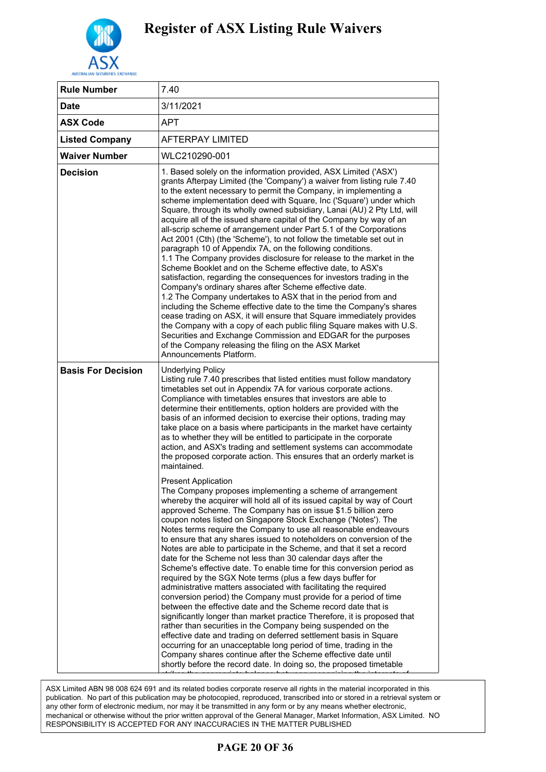

| <b>Rule Number</b>        | 7.40                                                                                                                                                                                                                                                                                                                                                                                                                                                                                                                                                                                                                                                                                                                                                                                                                                                                                                                                                                                                                                                                                                                                                                                                                                                                                                                                                                       |
|---------------------------|----------------------------------------------------------------------------------------------------------------------------------------------------------------------------------------------------------------------------------------------------------------------------------------------------------------------------------------------------------------------------------------------------------------------------------------------------------------------------------------------------------------------------------------------------------------------------------------------------------------------------------------------------------------------------------------------------------------------------------------------------------------------------------------------------------------------------------------------------------------------------------------------------------------------------------------------------------------------------------------------------------------------------------------------------------------------------------------------------------------------------------------------------------------------------------------------------------------------------------------------------------------------------------------------------------------------------------------------------------------------------|
| <b>Date</b>               | 3/11/2021                                                                                                                                                                                                                                                                                                                                                                                                                                                                                                                                                                                                                                                                                                                                                                                                                                                                                                                                                                                                                                                                                                                                                                                                                                                                                                                                                                  |
| <b>ASX Code</b>           | <b>APT</b>                                                                                                                                                                                                                                                                                                                                                                                                                                                                                                                                                                                                                                                                                                                                                                                                                                                                                                                                                                                                                                                                                                                                                                                                                                                                                                                                                                 |
| <b>Listed Company</b>     | AFTERPAY LIMITED                                                                                                                                                                                                                                                                                                                                                                                                                                                                                                                                                                                                                                                                                                                                                                                                                                                                                                                                                                                                                                                                                                                                                                                                                                                                                                                                                           |
| <b>Waiver Number</b>      | WLC210290-001                                                                                                                                                                                                                                                                                                                                                                                                                                                                                                                                                                                                                                                                                                                                                                                                                                                                                                                                                                                                                                                                                                                                                                                                                                                                                                                                                              |
| <b>Decision</b>           | 1. Based solely on the information provided, ASX Limited ('ASX')<br>grants Afterpay Limited (the 'Company') a waiver from listing rule 7.40<br>to the extent necessary to permit the Company, in implementing a<br>scheme implementation deed with Square, Inc ('Square') under which<br>Square, through its wholly owned subsidiary, Lanai (AU) 2 Pty Ltd, will<br>acquire all of the issued share capital of the Company by way of an<br>all-scrip scheme of arrangement under Part 5.1 of the Corporations<br>Act 2001 (Cth) (the 'Scheme'), to not follow the timetable set out in<br>paragraph 10 of Appendix 7A, on the following conditions.<br>1.1 The Company provides disclosure for release to the market in the<br>Scheme Booklet and on the Scheme effective date, to ASX's<br>satisfaction, regarding the consequences for investors trading in the<br>Company's ordinary shares after Scheme effective date.<br>1.2 The Company undertakes to ASX that in the period from and<br>including the Scheme effective date to the time the Company's shares<br>cease trading on ASX, it will ensure that Square immediately provides<br>the Company with a copy of each public filing Square makes with U.S.<br>Securities and Exchange Commission and EDGAR for the purposes<br>of the Company releasing the filing on the ASX Market<br>Announcements Platform. |
| <b>Basis For Decision</b> | <b>Underlying Policy</b><br>Listing rule 7.40 prescribes that listed entities must follow mandatory<br>timetables set out in Appendix 7A for various corporate actions.<br>Compliance with timetables ensures that investors are able to<br>determine their entitlements, option holders are provided with the<br>basis of an informed decision to exercise their options, trading may<br>take place on a basis where participants in the market have certainty<br>as to whether they will be entitled to participate in the corporate<br>action, and ASX's trading and settlement systems can accommodate<br>the proposed corporate action. This ensures that an orderly market is<br>maintained.                                                                                                                                                                                                                                                                                                                                                                                                                                                                                                                                                                                                                                                                         |
|                           | <b>Present Application</b><br>The Company proposes implementing a scheme of arrangement<br>whereby the acquirer will hold all of its issued capital by way of Court<br>approved Scheme. The Company has on issue \$1.5 billion zero<br>coupon notes listed on Singapore Stock Exchange ('Notes'). The<br>Notes terms require the Company to use all reasonable endeavours<br>to ensure that any shares issued to noteholders on conversion of the<br>Notes are able to participate in the Scheme, and that it set a record<br>date for the Scheme not less than 30 calendar days after the<br>Scheme's effective date. To enable time for this conversion period as<br>required by the SGX Note terms (plus a few days buffer for<br>administrative matters associated with facilitating the required<br>conversion period) the Company must provide for a period of time<br>between the effective date and the Scheme record date that is<br>significantly longer than market practice Therefore, it is proposed that<br>rather than securities in the Company being suspended on the<br>effective date and trading on deferred settlement basis in Square<br>occurring for an unacceptable long period of time, trading in the<br>Company shares continue after the Scheme effective date until<br>shortly before the record date. In doing so, the proposed timetable   |

.<br>ASX Limited ABN 98 008 624 691 and its related bodies corporate reserve all rights in the material incorporated in this publication. No part of this publication may be photocopied, reproduced, transcribed into or stored in a retrieval system or publication. postecure... The part of the post-company so proceed press, represence, transmised the or cross the retrieval b<br>any other form of electronic medium, nor may it be transmitted in any form or by any means whether electronic, mechanical or otherwise without the prior written approval of the General Manager, Market Information, ASX Limited. NO RESPONSIBILITY IS ACCEPTED FOR ANY INACCURACIES IN THE MATTER PUBLISHED  $W$  is conditional on satisfactory disclosure to the matrix  $\mathcal{M}$  and the matrix  $\mathcal{M}$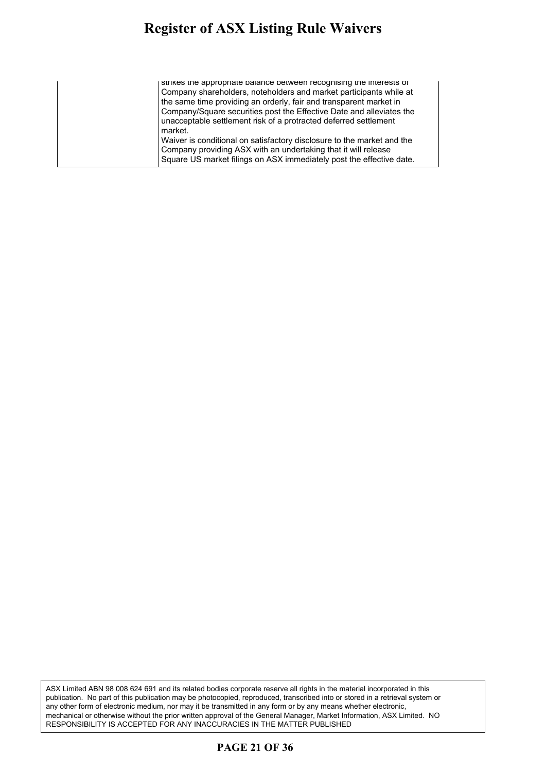#### **Register of ASX Listing Rule Waivers** gister of ASY Listing Rule Waivers grather than securities in the Company of the Company of the Company of the Company of the Company of the Company of the Company of the Company of the Company of the Company of the Company of the Company of the Company of

| strikes the appropriate balance between recognising the interests of<br>Company shareholders, noteholders and market participants while at<br>the same time providing an orderly, fair and transparent market in<br>Company/Square securities post the Effective Date and alleviates the<br>unacceptable settlement risk of a protracted deferred settlement<br>market. |
|-------------------------------------------------------------------------------------------------------------------------------------------------------------------------------------------------------------------------------------------------------------------------------------------------------------------------------------------------------------------------|
| Waiver is conditional on satisfactory disclosure to the market and the<br>Company providing ASX with an undertaking that it will release<br>Square US market filings on ASX immediately post the effective date.                                                                                                                                                        |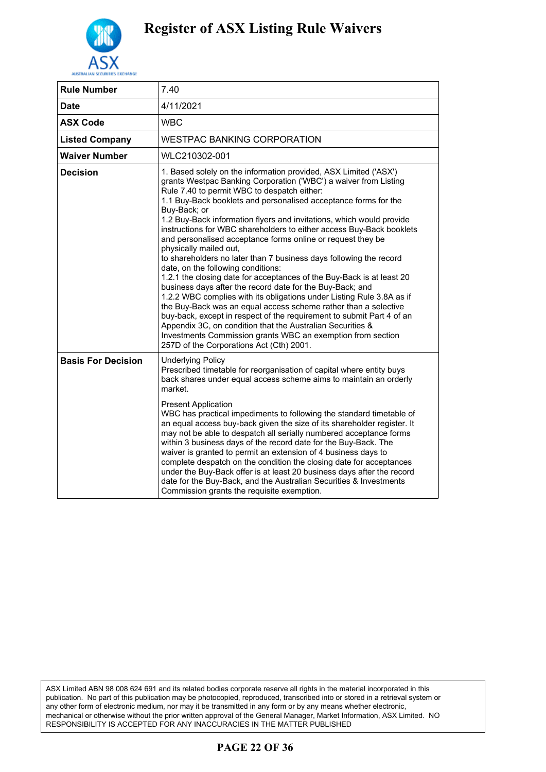

| <b>Rule Number</b>        | 7.40                                                                                                                                                                                                                                                                                                                                                                                                                                                                                                                                                                                                                                                                                                                                                                                                                                                                                                                                                                                                                                                                                                                                                            |
|---------------------------|-----------------------------------------------------------------------------------------------------------------------------------------------------------------------------------------------------------------------------------------------------------------------------------------------------------------------------------------------------------------------------------------------------------------------------------------------------------------------------------------------------------------------------------------------------------------------------------------------------------------------------------------------------------------------------------------------------------------------------------------------------------------------------------------------------------------------------------------------------------------------------------------------------------------------------------------------------------------------------------------------------------------------------------------------------------------------------------------------------------------------------------------------------------------|
| <b>Date</b>               | 4/11/2021                                                                                                                                                                                                                                                                                                                                                                                                                                                                                                                                                                                                                                                                                                                                                                                                                                                                                                                                                                                                                                                                                                                                                       |
| <b>ASX Code</b>           | <b>WBC</b>                                                                                                                                                                                                                                                                                                                                                                                                                                                                                                                                                                                                                                                                                                                                                                                                                                                                                                                                                                                                                                                                                                                                                      |
| <b>Listed Company</b>     | <b>WESTPAC BANKING CORPORATION</b>                                                                                                                                                                                                                                                                                                                                                                                                                                                                                                                                                                                                                                                                                                                                                                                                                                                                                                                                                                                                                                                                                                                              |
| <b>Waiver Number</b>      | WLC210302-001                                                                                                                                                                                                                                                                                                                                                                                                                                                                                                                                                                                                                                                                                                                                                                                                                                                                                                                                                                                                                                                                                                                                                   |
| <b>Decision</b>           | 1. Based solely on the information provided, ASX Limited ('ASX')<br>grants Westpac Banking Corporation ('WBC') a waiver from Listing<br>Rule 7.40 to permit WBC to despatch either:<br>1.1 Buy-Back booklets and personalised acceptance forms for the<br>Buy-Back; or<br>1.2 Buy-Back information flyers and invitations, which would provide<br>instructions for WBC shareholders to either access Buy-Back booklets<br>and personalised acceptance forms online or request they be<br>physically mailed out,<br>to shareholders no later than 7 business days following the record<br>date, on the following conditions:<br>1.2.1 the closing date for acceptances of the Buy-Back is at least 20<br>business days after the record date for the Buy-Back; and<br>1.2.2 WBC complies with its obligations under Listing Rule 3.8A as if<br>the Buy-Back was an equal access scheme rather than a selective<br>buy-back, except in respect of the requirement to submit Part 4 of an<br>Appendix 3C, on condition that the Australian Securities &<br>Investments Commission grants WBC an exemption from section<br>257D of the Corporations Act (Cth) 2001. |
| <b>Basis For Decision</b> | <b>Underlying Policy</b><br>Prescribed timetable for reorganisation of capital where entity buys<br>back shares under equal access scheme aims to maintain an orderly<br>market.<br><b>Present Application</b><br>WBC has practical impediments to following the standard timetable of<br>an equal access buy-back given the size of its shareholder register. It<br>may not be able to despatch all serially numbered acceptance forms<br>within 3 business days of the record date for the Buy-Back. The<br>waiver is granted to permit an extension of 4 business days to<br>complete despatch on the condition the closing date for acceptances<br>under the Buy-Back offer is at least 20 business days after the record<br>date for the Buy-Back, and the Australian Securities & Investments<br>Commission grants the requisite exemption.                                                                                                                                                                                                                                                                                                               |

ASX Limited ABN 98 008 624 691 and its related bodies corporate reserve all rights in the material incorporated in this publication. No part of this publication may be photocopied, reproduced, transcribed into or stored in a retrieval system or any other form of electronic medium, nor may it be transmitted in any form or by any means whether electronic, mechanical or otherwise without the prior written approval of the General Manager, Market Information, ASX Limited. NO RESPONSIBILITY IS ACCEPTED FOR ANY INACCURACIES IN THE MATTER PUBLISHED

## **PAGE 22 OF 36**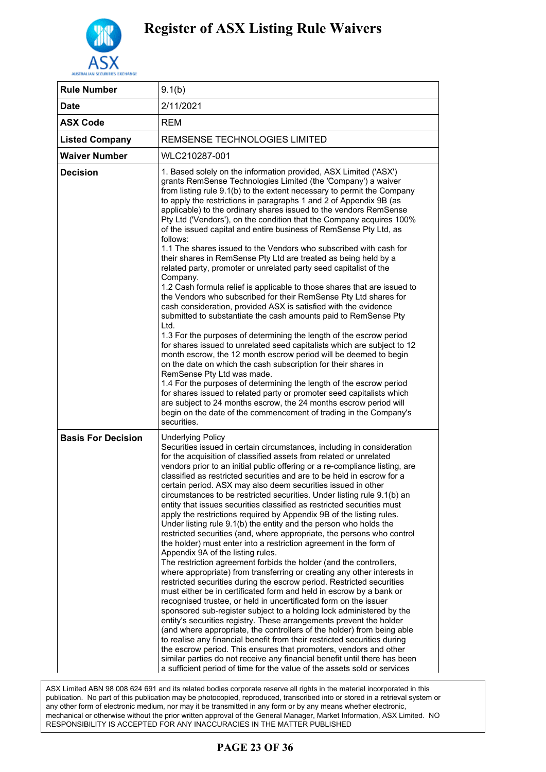

| <b>Rule Number</b>        | 9.1(b)                                                                                                                                                                                                                                                                                                                                                                                                                                                                                                                                                                                                                                                                                                                                                                                                                                                                                                                                                                                                                                                                                                                                                                                                                                                                                                                                                                                                                                                                                                                                                                                                                                                                                                                                                                                           |
|---------------------------|--------------------------------------------------------------------------------------------------------------------------------------------------------------------------------------------------------------------------------------------------------------------------------------------------------------------------------------------------------------------------------------------------------------------------------------------------------------------------------------------------------------------------------------------------------------------------------------------------------------------------------------------------------------------------------------------------------------------------------------------------------------------------------------------------------------------------------------------------------------------------------------------------------------------------------------------------------------------------------------------------------------------------------------------------------------------------------------------------------------------------------------------------------------------------------------------------------------------------------------------------------------------------------------------------------------------------------------------------------------------------------------------------------------------------------------------------------------------------------------------------------------------------------------------------------------------------------------------------------------------------------------------------------------------------------------------------------------------------------------------------------------------------------------------------|
| Date                      | 2/11/2021                                                                                                                                                                                                                                                                                                                                                                                                                                                                                                                                                                                                                                                                                                                                                                                                                                                                                                                                                                                                                                                                                                                                                                                                                                                                                                                                                                                                                                                                                                                                                                                                                                                                                                                                                                                        |
| <b>ASX Code</b>           | <b>REM</b>                                                                                                                                                                                                                                                                                                                                                                                                                                                                                                                                                                                                                                                                                                                                                                                                                                                                                                                                                                                                                                                                                                                                                                                                                                                                                                                                                                                                                                                                                                                                                                                                                                                                                                                                                                                       |
| <b>Listed Company</b>     | <b>REMSENSE TECHNOLOGIES LIMITED</b>                                                                                                                                                                                                                                                                                                                                                                                                                                                                                                                                                                                                                                                                                                                                                                                                                                                                                                                                                                                                                                                                                                                                                                                                                                                                                                                                                                                                                                                                                                                                                                                                                                                                                                                                                             |
| <b>Waiver Number</b>      | WLC210287-001                                                                                                                                                                                                                                                                                                                                                                                                                                                                                                                                                                                                                                                                                                                                                                                                                                                                                                                                                                                                                                                                                                                                                                                                                                                                                                                                                                                                                                                                                                                                                                                                                                                                                                                                                                                    |
| <b>Decision</b>           | 1. Based solely on the information provided, ASX Limited ('ASX')<br>grants RemSense Technologies Limited (the 'Company') a waiver<br>from listing rule 9.1(b) to the extent necessary to permit the Company<br>to apply the restrictions in paragraphs 1 and 2 of Appendix 9B (as<br>applicable) to the ordinary shares issued to the vendors RemSense<br>Pty Ltd ('Vendors'), on the condition that the Company acquires 100%<br>of the issued capital and entire business of RemSense Pty Ltd, as<br>follows:<br>1.1 The shares issued to the Vendors who subscribed with cash for<br>their shares in RemSense Pty Ltd are treated as being held by a<br>related party, promoter or unrelated party seed capitalist of the<br>Company.<br>1.2 Cash formula relief is applicable to those shares that are issued to<br>the Vendors who subscribed for their RemSense Pty Ltd shares for<br>cash consideration, provided ASX is satisfied with the evidence<br>submitted to substantiate the cash amounts paid to RemSense Pty<br>Ltd.<br>1.3 For the purposes of determining the length of the escrow period<br>for shares issued to unrelated seed capitalists which are subject to 12<br>month escrow, the 12 month escrow period will be deemed to begin<br>on the date on which the cash subscription for their shares in<br>RemSense Pty Ltd was made.<br>1.4 For the purposes of determining the length of the escrow period<br>for shares issued to related party or promoter seed capitalists which<br>are subject to 24 months escrow, the 24 months escrow period will<br>begin on the date of the commencement of trading in the Company's<br>securities.                                                                                                                            |
| <b>Basis For Decision</b> | <b>Underlying Policy</b><br>Securities issued in certain circumstances, including in consideration<br>for the acquisition of classified assets from related or unrelated<br>vendors prior to an initial public offering or a re-compliance listing, are<br>classified as restricted securities and are to be held in escrow for a<br>certain period. ASX may also deem securities issued in other<br>circumstances to be restricted securities. Under listing rule 9.1(b) an<br>entity that issues securities classified as restricted securities must<br>apply the restrictions required by Appendix 9B of the listing rules.<br>Under listing rule 9.1(b) the entity and the person who holds the<br>restricted securities (and, where appropriate, the persons who control<br>the holder) must enter into a restriction agreement in the form of<br>Appendix 9A of the listing rules.<br>The restriction agreement forbids the holder (and the controllers,<br>where appropriate) from transferring or creating any other interests in<br>restricted securities during the escrow period. Restricted securities<br>must either be in certificated form and held in escrow by a bank or<br>recognised trustee, or held in uncertificated form on the issuer<br>sponsored sub-register subject to a holding lock administered by the<br>entity's securities registry. These arrangements prevent the holder<br>(and where appropriate, the controllers of the holder) from being able<br>to realise any financial benefit from their restricted securities during<br>the escrow period. This ensures that promoters, vendors and other<br>similar parties do not receive any financial benefit until there has been<br>a sufficient period of time for the value of the assets sold or services |

ASX Limited ABN 98 008 624 691 and its related bodies corporate reserve all rights in the material incorporated in this publication. No part of this publication may be photocopied, reproduced, transcribed into or stored in a retrieval system or any other form of electronic medium, nor may it be transmitted in any form or by any means whether electronic, mechanical or otherwise without the prior written approval of the General Manager, Market Information, ASX Limited. NO RESPONSIBILITY IS ACCEPTED FOR ANY INACCURACIES IN THE MATTER PUBLISHED

## **PAGE 23 OF 36**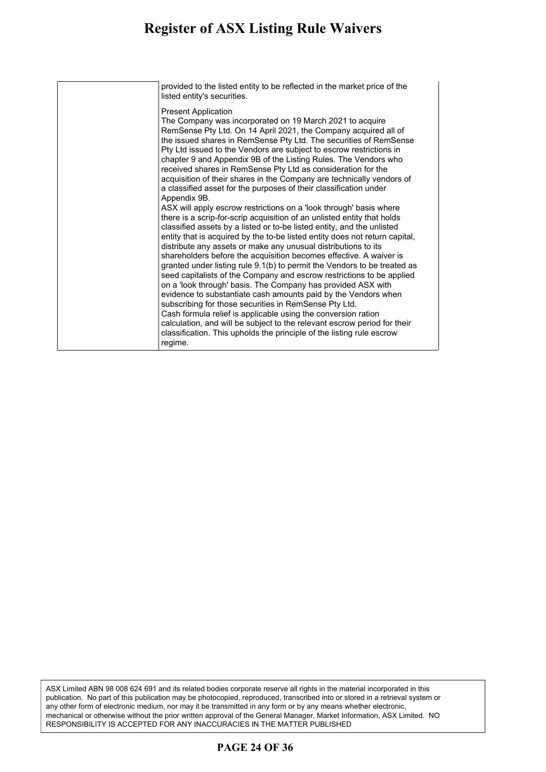### **Register of ASX Listing Rule Waivers** gister of ASA Listing Rule Waivers  $\sim$  and where appropriate, the controllers of the holder) from being able the holder  $\sim$

| provided to the listed entity to be reflected in the market price of the<br>listed entity's securities.<br><b>Present Application</b><br>The Company was incorporated on 19 March 2021 to acquire<br>RemSense Pty Ltd. On 14 April 2021, the Company acquired all of<br>the issued shares in RemSense Pty Ltd. The securities of RemSense<br>Pty Ltd issued to the Vendors are subject to escrow restrictions in<br>chapter 9 and Appendix 9B of the Listing Rules. The Vendors who<br>received shares in RemSense Pty Ltd as consideration for the<br>acquisition of their shares in the Company are technically vendors of<br>a classified asset for the purposes of their classification under<br>Appendix 9B.<br>ASX will apply escrow restrictions on a 'look through' basis where<br>there is a scrip-for-scrip acquisition of an unlisted entity that holds<br>classified assets by a listed or to-be listed entity, and the unlisted<br>entity that is acquired by the to-be listed entity does not return capital,<br>distribute any assets or make any unusual distributions to its<br>shareholders before the acquisition becomes effective. A waiver is<br>granted under listing rule 9.1(b) to permit the Vendors to be treated as<br>seed capitalists of the Company and escrow restrictions to be applied<br>on a 'look through' basis. The Company has provided ASX with<br>evidence to substantiate cash amounts paid by the Vendors when<br>subscribing for those securities in RemSense Pty Ltd.<br>Cash formula relief is applicable using the conversion ration<br>calculation, and will be subject to the relevant escrow period for their<br>classification. This upholds the principle of the listing rule escrow |         |
|-------------------------------------------------------------------------------------------------------------------------------------------------------------------------------------------------------------------------------------------------------------------------------------------------------------------------------------------------------------------------------------------------------------------------------------------------------------------------------------------------------------------------------------------------------------------------------------------------------------------------------------------------------------------------------------------------------------------------------------------------------------------------------------------------------------------------------------------------------------------------------------------------------------------------------------------------------------------------------------------------------------------------------------------------------------------------------------------------------------------------------------------------------------------------------------------------------------------------------------------------------------------------------------------------------------------------------------------------------------------------------------------------------------------------------------------------------------------------------------------------------------------------------------------------------------------------------------------------------------------------------------------------------------------------------------------------------------------------------------------|---------|
|                                                                                                                                                                                                                                                                                                                                                                                                                                                                                                                                                                                                                                                                                                                                                                                                                                                                                                                                                                                                                                                                                                                                                                                                                                                                                                                                                                                                                                                                                                                                                                                                                                                                                                                                           |         |
|                                                                                                                                                                                                                                                                                                                                                                                                                                                                                                                                                                                                                                                                                                                                                                                                                                                                                                                                                                                                                                                                                                                                                                                                                                                                                                                                                                                                                                                                                                                                                                                                                                                                                                                                           | regime. |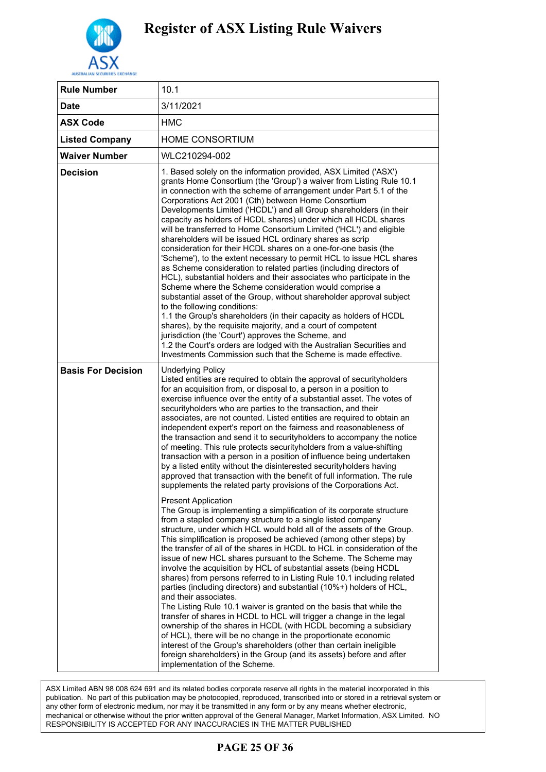

| <b>Rule Number</b>        | 10.1                                                                                                                                                                                                                                                                                                                                                                                                                                                                                                                                                                                                                                                                                                                                                                                                                                                                                                                                                                                                                                                                                                                                                                                                                                                                                                                                                                                                                                                                                                                                                                                                                                                                                                                                                                                                                                                                                                                                                                                                                                                                                                           |
|---------------------------|----------------------------------------------------------------------------------------------------------------------------------------------------------------------------------------------------------------------------------------------------------------------------------------------------------------------------------------------------------------------------------------------------------------------------------------------------------------------------------------------------------------------------------------------------------------------------------------------------------------------------------------------------------------------------------------------------------------------------------------------------------------------------------------------------------------------------------------------------------------------------------------------------------------------------------------------------------------------------------------------------------------------------------------------------------------------------------------------------------------------------------------------------------------------------------------------------------------------------------------------------------------------------------------------------------------------------------------------------------------------------------------------------------------------------------------------------------------------------------------------------------------------------------------------------------------------------------------------------------------------------------------------------------------------------------------------------------------------------------------------------------------------------------------------------------------------------------------------------------------------------------------------------------------------------------------------------------------------------------------------------------------------------------------------------------------------------------------------------------------|
| <b>Date</b>               | 3/11/2021                                                                                                                                                                                                                                                                                                                                                                                                                                                                                                                                                                                                                                                                                                                                                                                                                                                                                                                                                                                                                                                                                                                                                                                                                                                                                                                                                                                                                                                                                                                                                                                                                                                                                                                                                                                                                                                                                                                                                                                                                                                                                                      |
| <b>ASX Code</b>           | <b>HMC</b>                                                                                                                                                                                                                                                                                                                                                                                                                                                                                                                                                                                                                                                                                                                                                                                                                                                                                                                                                                                                                                                                                                                                                                                                                                                                                                                                                                                                                                                                                                                                                                                                                                                                                                                                                                                                                                                                                                                                                                                                                                                                                                     |
| <b>Listed Company</b>     | <b>HOME CONSORTIUM</b>                                                                                                                                                                                                                                                                                                                                                                                                                                                                                                                                                                                                                                                                                                                                                                                                                                                                                                                                                                                                                                                                                                                                                                                                                                                                                                                                                                                                                                                                                                                                                                                                                                                                                                                                                                                                                                                                                                                                                                                                                                                                                         |
| <b>Waiver Number</b>      | WLC210294-002                                                                                                                                                                                                                                                                                                                                                                                                                                                                                                                                                                                                                                                                                                                                                                                                                                                                                                                                                                                                                                                                                                                                                                                                                                                                                                                                                                                                                                                                                                                                                                                                                                                                                                                                                                                                                                                                                                                                                                                                                                                                                                  |
| <b>Decision</b>           | 1. Based solely on the information provided, ASX Limited ('ASX')<br>grants Home Consortium (the 'Group') a waiver from Listing Rule 10.1<br>in connection with the scheme of arrangement under Part 5.1 of the<br>Corporations Act 2001 (Cth) between Home Consortium<br>Developments Limited ('HCDL') and all Group shareholders (in their<br>capacity as holders of HCDL shares) under which all HCDL shares<br>will be transferred to Home Consortium Limited ('HCL') and eligible<br>shareholders will be issued HCL ordinary shares as scrip<br>consideration for their HCDL shares on a one-for-one basis (the<br>'Scheme'), to the extent necessary to permit HCL to issue HCL shares<br>as Scheme consideration to related parties (including directors of<br>HCL), substantial holders and their associates who participate in the<br>Scheme where the Scheme consideration would comprise a<br>substantial asset of the Group, without shareholder approval subject<br>to the following conditions:<br>1.1 the Group's shareholders (in their capacity as holders of HCDL<br>shares), by the requisite majority, and a court of competent<br>jurisdiction (the 'Court') approves the Scheme, and<br>1.2 the Court's orders are lodged with the Australian Securities and<br>Investments Commission such that the Scheme is made effective.                                                                                                                                                                                                                                                                                                                                                                                                                                                                                                                                                                                                                                                                                                                                                           |
| <b>Basis For Decision</b> | <b>Underlying Policy</b><br>Listed entities are required to obtain the approval of securityholders<br>for an acquisition from, or disposal to, a person in a position to<br>exercise influence over the entity of a substantial asset. The votes of<br>securityholders who are parties to the transaction, and their<br>associates, are not counted. Listed entities are required to obtain an<br>independent expert's report on the fairness and reasonableness of<br>the transaction and send it to securityholders to accompany the notice<br>of meeting. This rule protects securityholders from a value-shifting<br>transaction with a person in a position of influence being undertaken<br>by a listed entity without the disinterested securityholders having<br>approved that transaction with the benefit of full information. The rule<br>supplements the related party provisions of the Corporations Act.<br><b>Present Application</b><br>The Group is implementing a simplification of its corporate structure<br>from a stapled company structure to a single listed company<br>structure, under which HCL would hold all of the assets of the Group.<br>This simplification is proposed be achieved (among other steps) by<br>the transfer of all of the shares in HCDL to HCL in consideration of the<br>issue of new HCL shares pursuant to the Scheme. The Scheme may<br>involve the acquisition by HCL of substantial assets (being HCDL<br>shares) from persons referred to in Listing Rule 10.1 including related<br>parties (including directors) and substantial (10%+) holders of HCL,<br>and their associates.<br>The Listing Rule 10.1 waiver is granted on the basis that while the<br>transfer of shares in HCDL to HCL will trigger a change in the legal<br>ownership of the shares in HCDL (with HCDL becoming a subsidiary<br>of HCL), there will be no change in the proportionate economic<br>interest of the Group's shareholders (other than certain ineligible<br>foreign shareholders) in the Group (and its assets) before and after<br>implementation of the Scheme. |

ASX Limited ABN 98 008 624 691 and its related bodies corporate reserve all rights in the material incorporated in this publication. No part of this publication may be photocopied, reproduced, transcribed into or stored in a retrieval system or any other form of electronic medium, nor may it be transmitted in any form or by any means whether electronic, mechanical or otherwise without the prior written approval of the General Manager, Market Information, ASX Limited. NO RESPONSIBILITY IS ACCEPTED FOR ANY INACCURACIES IN THE MATTER PUBLISHED

## **PAGE 25 OF 36**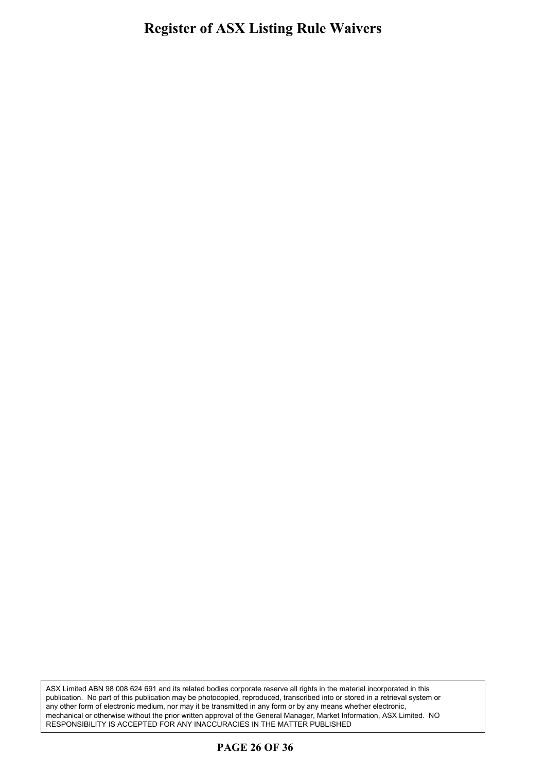ASX Limited ABN 98 008 624 691 and its related bodies corporate reserve all rights in the material incorporated in this publication. No part of this publication may be photocopied, reproduced, transcribed into or stored in a retrieval system or any other form of electronic medium, nor may it be transmitted in any form or by any means whether electronic, mechanical or otherwise without the prior written approval of the General Manager, Market Information, ASX Limited. NO RESPONSIBILITY IS ACCEPTED FOR ANY INACCURACIES IN THE MATTER PUBLISHED

## **PAGE 26 OF 36**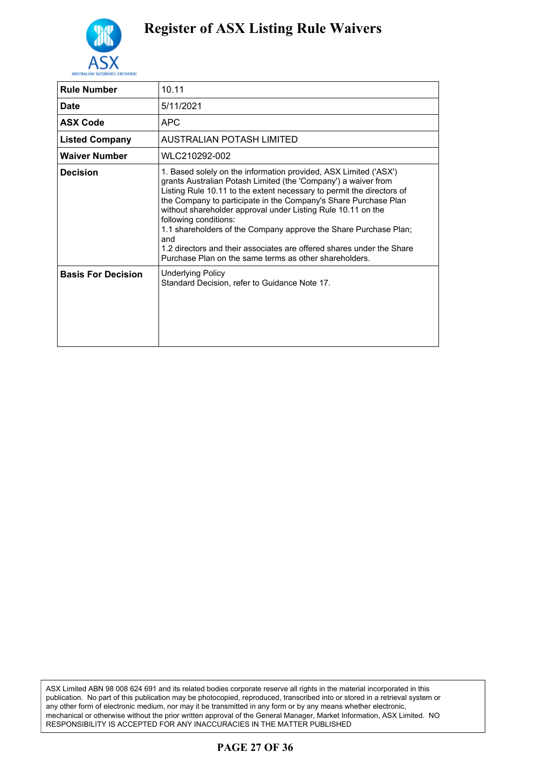

| <b>Rule Number</b>        | 10.11                                                                                                                                                                                                                                                                                                                                                                                                                                                                                                                                                                                 |
|---------------------------|---------------------------------------------------------------------------------------------------------------------------------------------------------------------------------------------------------------------------------------------------------------------------------------------------------------------------------------------------------------------------------------------------------------------------------------------------------------------------------------------------------------------------------------------------------------------------------------|
| <b>Date</b>               | 5/11/2021                                                                                                                                                                                                                                                                                                                                                                                                                                                                                                                                                                             |
| <b>ASX Code</b>           | APC                                                                                                                                                                                                                                                                                                                                                                                                                                                                                                                                                                                   |
| <b>Listed Company</b>     | <b>AUSTRALIAN POTASH LIMITED</b>                                                                                                                                                                                                                                                                                                                                                                                                                                                                                                                                                      |
| <b>Waiver Number</b>      | WLC210292-002                                                                                                                                                                                                                                                                                                                                                                                                                                                                                                                                                                         |
| <b>Decision</b>           | 1. Based solely on the information provided, ASX Limited ('ASX')<br>grants Australian Potash Limited (the 'Company') a waiver from<br>Listing Rule 10.11 to the extent necessary to permit the directors of<br>the Company to participate in the Company's Share Purchase Plan<br>without shareholder approval under Listing Rule 10.11 on the<br>following conditions:<br>1.1 shareholders of the Company approve the Share Purchase Plan;<br>and<br>1.2 directors and their associates are offered shares under the Share<br>Purchase Plan on the same terms as other shareholders. |
| <b>Basis For Decision</b> | Underlying Policy<br>Standard Decision, refer to Guidance Note 17.                                                                                                                                                                                                                                                                                                                                                                                                                                                                                                                    |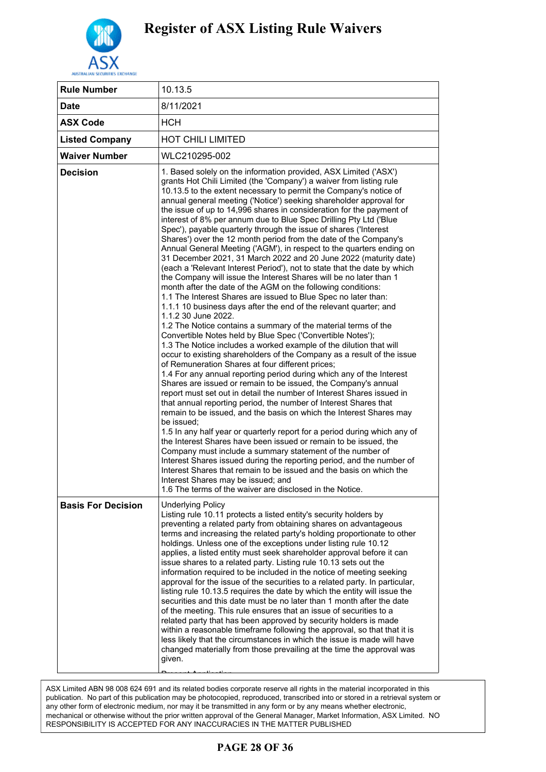

| <b>Rule Number</b>        | 10.13.5                                                                                                                                                                                                                                                                                                                                                                                                                                                                                                                                                                                                                                                                                                                                                                                                                                                                                                                                                                                                                                                                                                                                                                                                                                                                                                                                                                                                                                                                                                                                                                                                                                                                                                                                                                                                                                                                                                                                                                                                                                                                                                                                                                                                                                                                            |
|---------------------------|------------------------------------------------------------------------------------------------------------------------------------------------------------------------------------------------------------------------------------------------------------------------------------------------------------------------------------------------------------------------------------------------------------------------------------------------------------------------------------------------------------------------------------------------------------------------------------------------------------------------------------------------------------------------------------------------------------------------------------------------------------------------------------------------------------------------------------------------------------------------------------------------------------------------------------------------------------------------------------------------------------------------------------------------------------------------------------------------------------------------------------------------------------------------------------------------------------------------------------------------------------------------------------------------------------------------------------------------------------------------------------------------------------------------------------------------------------------------------------------------------------------------------------------------------------------------------------------------------------------------------------------------------------------------------------------------------------------------------------------------------------------------------------------------------------------------------------------------------------------------------------------------------------------------------------------------------------------------------------------------------------------------------------------------------------------------------------------------------------------------------------------------------------------------------------------------------------------------------------------------------------------------------------|
| <b>Date</b>               | 8/11/2021                                                                                                                                                                                                                                                                                                                                                                                                                                                                                                                                                                                                                                                                                                                                                                                                                                                                                                                                                                                                                                                                                                                                                                                                                                                                                                                                                                                                                                                                                                                                                                                                                                                                                                                                                                                                                                                                                                                                                                                                                                                                                                                                                                                                                                                                          |
| <b>ASX Code</b>           | <b>HCH</b>                                                                                                                                                                                                                                                                                                                                                                                                                                                                                                                                                                                                                                                                                                                                                                                                                                                                                                                                                                                                                                                                                                                                                                                                                                                                                                                                                                                                                                                                                                                                                                                                                                                                                                                                                                                                                                                                                                                                                                                                                                                                                                                                                                                                                                                                         |
| <b>Listed Company</b>     | <b>HOT CHILI LIMITED</b>                                                                                                                                                                                                                                                                                                                                                                                                                                                                                                                                                                                                                                                                                                                                                                                                                                                                                                                                                                                                                                                                                                                                                                                                                                                                                                                                                                                                                                                                                                                                                                                                                                                                                                                                                                                                                                                                                                                                                                                                                                                                                                                                                                                                                                                           |
| <b>Waiver Number</b>      | WLC210295-002                                                                                                                                                                                                                                                                                                                                                                                                                                                                                                                                                                                                                                                                                                                                                                                                                                                                                                                                                                                                                                                                                                                                                                                                                                                                                                                                                                                                                                                                                                                                                                                                                                                                                                                                                                                                                                                                                                                                                                                                                                                                                                                                                                                                                                                                      |
| <b>Decision</b>           | 1. Based solely on the information provided, ASX Limited ('ASX')<br>grants Hot Chili Limited (the 'Company') a waiver from listing rule<br>10.13.5 to the extent necessary to permit the Company's notice of<br>annual general meeting ('Notice') seeking shareholder approval for<br>the issue of up to 14,996 shares in consideration for the payment of<br>interest of 8% per annum due to Blue Spec Drilling Pty Ltd ('Blue<br>Spec'), payable quarterly through the issue of shares ('Interest<br>Shares') over the 12 month period from the date of the Company's<br>Annual General Meeting ('AGM'), in respect to the quarters ending on<br>31 December 2021, 31 March 2022 and 20 June 2022 (maturity date)<br>(each a 'Relevant Interest Period'), not to state that the date by which<br>the Company will issue the Interest Shares will be no later than 1<br>month after the date of the AGM on the following conditions:<br>1.1 The Interest Shares are issued to Blue Spec no later than:<br>1.1.1 10 business days after the end of the relevant quarter; and<br>1.1.2 30 June 2022.<br>1.2 The Notice contains a summary of the material terms of the<br>Convertible Notes held by Blue Spec ('Convertible Notes');<br>1.3 The Notice includes a worked example of the dilution that will<br>occur to existing shareholders of the Company as a result of the issue<br>of Remuneration Shares at four different prices;<br>1.4 For any annual reporting period during which any of the Interest<br>Shares are issued or remain to be issued, the Company's annual<br>report must set out in detail the number of Interest Shares issued in<br>that annual reporting period, the number of Interest Shares that<br>remain to be issued, and the basis on which the Interest Shares may<br>be issued;<br>1.5 In any half year or quarterly report for a period during which any of<br>the Interest Shares have been issued or remain to be issued, the<br>Company must include a summary statement of the number of<br>Interest Shares issued during the reporting period, and the number of<br>Interest Shares that remain to be issued and the basis on which the<br>Interest Shares may be issued; and<br>1.6 The terms of the waiver are disclosed in the Notice |
| <b>Basis For Decision</b> | <b>Underlying Policy</b><br>Listing rule 10.11 protects a listed entity's security holders by<br>preventing a related party from obtaining shares on advantageous<br>terms and increasing the related party's holding proportionate to other<br>holdings. Unless one of the exceptions under listing rule 10.12<br>applies, a listed entity must seek shareholder approval before it can<br>issue shares to a related party. Listing rule 10.13 sets out the<br>information required to be included in the notice of meeting seeking<br>approval for the issue of the securities to a related party. In particular,<br>listing rule 10.13.5 requires the date by which the entity will issue the<br>securities and this date must be no later than 1 month after the date<br>of the meeting. This rule ensures that an issue of securities to a<br>related party that has been approved by security holders is made<br>within a reasonable timeframe following the approval, so that that it is<br>less likely that the circumstances in which the issue is made will have<br>changed materially from those prevailing at the time the approval was<br>given.                                                                                                                                                                                                                                                                                                                                                                                                                                                                                                                                                                                                                                                                                                                                                                                                                                                                                                                                                                                                                                                                                                                      |

.<br>ASX Limited ABN 98 008 624 691 and its related bodies corporate reserve all rights in the material incorporated in this publication. No part of this publication may be photocopied, reproduced, transcribed into or stored in a retrieval system or publication. experiencement in part of the parameter may be proceed productive, represented in anomical three or correct in<br>any other form of electronic medium, nor may it be transmitted in any form or by any means whether electronic, mechanical or otherwise without the prior written approval of the General Manager, Market Information, ASX Limited. NO RESPONSIBILITY IS ACCEPTED FOR ANY INACCURACIES IN THE MATTER PUBLISHED the issue of Interest Shares in satisfaction of interest that will become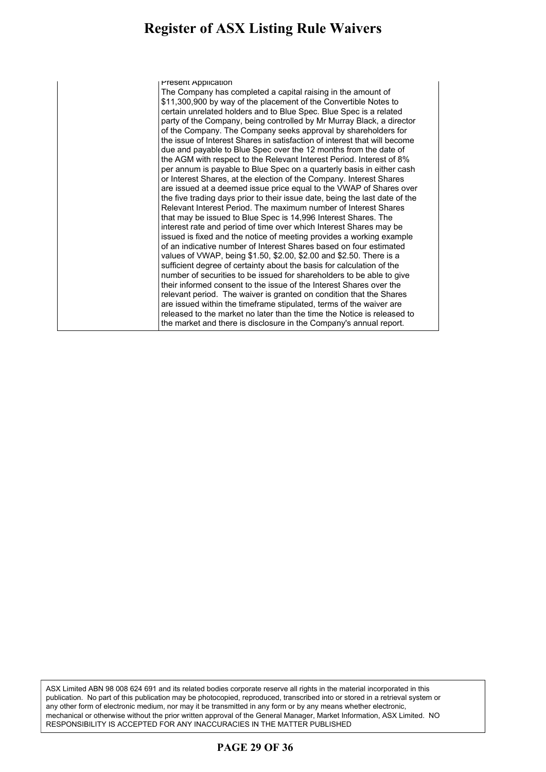### Present Application

The Company has completed a capital raising in the amount of \$11,300,900 by way of the placement of the Convertible Notes to certain unrelated holders and to Blue Spec. Blue Spec is a related party of the Company, being controlled by Mr Murray Black, a director of the Company. The Company seeks approval by shareholders for the issue of Interest Shares in satisfaction of interest that will become due and payable to Blue Spec over the 12 months from the date of the AGM with respect to the Relevant Interest Period. Interest of 8% per annum is payable to Blue Spec on a quarterly basis in either cash or Interest Shares, at the election of the Company. Interest Shares are issued at a deemed issue price equal to the VWAP of Shares over the five trading days prior to their issue date, being the last date of the Relevant Interest Period. The maximum number of Interest Shares that may be issued to Blue Spec is 14,996 Interest Shares. The interest rate and period of time over which Interest Shares may be issued is fixed and the notice of meeting provides a working example of an indicative number of Interest Shares based on four estimated values of VWAP, being \$1.50, \$2.00, \$2.00 and \$2.50. There is a sufficient degree of certainty about the basis for calculation of the number of securities to be issued for shareholders to be able to give their informed consent to the issue of the Interest Shares over the relevant period. The waiver is granted on condition that the Shares are issued within the timeframe stipulated, terms of the waiver are released to the market no later than the time the Notice is released to the market and there is disclosure in the Company's annual report.

ASX Limited ABN 98 008 624 691 and its related bodies corporate reserve all rights in the material incorporated in this publication. No part of this publication may be photocopied, reproduced, transcribed into or stored in a retrieval system or any other form of electronic medium, nor may it be transmitted in any form or by any means whether electronic, mechanical or otherwise without the prior written approval of the General Manager, Market Information, ASX Limited. NO RESPONSIBILITY IS ACCEPTED FOR ANY INACCURACIES IN THE MATTER PUBLISHED

### **PAGE 29 OF 36**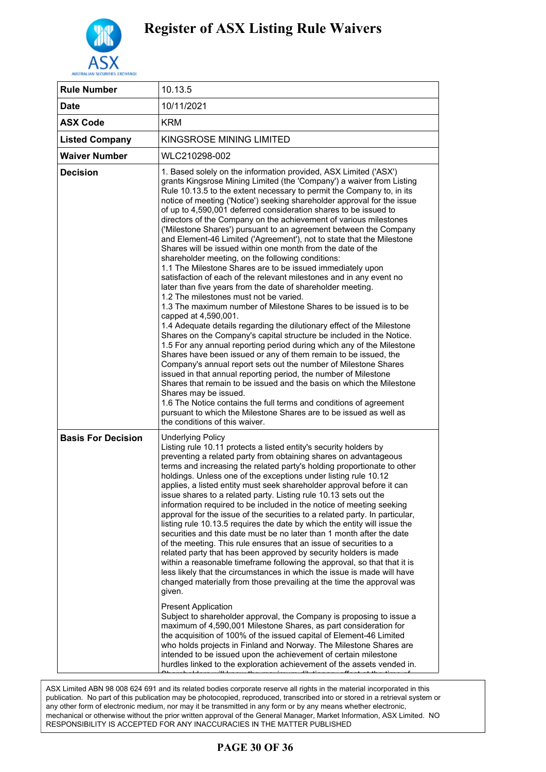

| <b>Rule Number</b>        | 10.13.5                                                                                                                                                                                                                                                                                                                                                                                                                                                                                                                                                                                                                                                                                                                                                                                                                                                                                                                                                                                                                                                                                                                                                                                                                                                                                                                                                                                                                                                                                                                                                                                                                                                                                                                                                               |
|---------------------------|-----------------------------------------------------------------------------------------------------------------------------------------------------------------------------------------------------------------------------------------------------------------------------------------------------------------------------------------------------------------------------------------------------------------------------------------------------------------------------------------------------------------------------------------------------------------------------------------------------------------------------------------------------------------------------------------------------------------------------------------------------------------------------------------------------------------------------------------------------------------------------------------------------------------------------------------------------------------------------------------------------------------------------------------------------------------------------------------------------------------------------------------------------------------------------------------------------------------------------------------------------------------------------------------------------------------------------------------------------------------------------------------------------------------------------------------------------------------------------------------------------------------------------------------------------------------------------------------------------------------------------------------------------------------------------------------------------------------------------------------------------------------------|
| <b>Date</b>               | 10/11/2021                                                                                                                                                                                                                                                                                                                                                                                                                                                                                                                                                                                                                                                                                                                                                                                                                                                                                                                                                                                                                                                                                                                                                                                                                                                                                                                                                                                                                                                                                                                                                                                                                                                                                                                                                            |
| <b>ASX Code</b>           | <b>KRM</b>                                                                                                                                                                                                                                                                                                                                                                                                                                                                                                                                                                                                                                                                                                                                                                                                                                                                                                                                                                                                                                                                                                                                                                                                                                                                                                                                                                                                                                                                                                                                                                                                                                                                                                                                                            |
| <b>Listed Company</b>     | KINGSROSE MINING LIMITED                                                                                                                                                                                                                                                                                                                                                                                                                                                                                                                                                                                                                                                                                                                                                                                                                                                                                                                                                                                                                                                                                                                                                                                                                                                                                                                                                                                                                                                                                                                                                                                                                                                                                                                                              |
| <b>Waiver Number</b>      | WLC210298-002                                                                                                                                                                                                                                                                                                                                                                                                                                                                                                                                                                                                                                                                                                                                                                                                                                                                                                                                                                                                                                                                                                                                                                                                                                                                                                                                                                                                                                                                                                                                                                                                                                                                                                                                                         |
| <b>Decision</b>           | 1. Based solely on the information provided, ASX Limited ('ASX')<br>grants Kingsrose Mining Limited (the 'Company') a waiver from Listing<br>Rule 10.13.5 to the extent necessary to permit the Company to, in its<br>notice of meeting ('Notice') seeking shareholder approval for the issue<br>of up to 4,590,001 deferred consideration shares to be issued to<br>directors of the Company on the achievement of various milestones<br>('Milestone Shares') pursuant to an agreement between the Company<br>and Element-46 Limited ('Agreement'), not to state that the Milestone<br>Shares will be issued within one month from the date of the<br>shareholder meeting, on the following conditions:<br>1.1 The Milestone Shares are to be issued immediately upon<br>satisfaction of each of the relevant milestones and in any event no<br>later than five years from the date of shareholder meeting.<br>1.2 The milestones must not be varied.<br>1.3 The maximum number of Milestone Shares to be issued is to be<br>capped at 4,590,001.<br>1.4 Adequate details regarding the dilutionary effect of the Milestone<br>Shares on the Company's capital structure be included in the Notice.<br>1.5 For any annual reporting period during which any of the Milestone<br>Shares have been issued or any of them remain to be issued, the<br>Company's annual report sets out the number of Milestone Shares<br>issued in that annual reporting period, the number of Milestone<br>Shares that remain to be issued and the basis on which the Milestone<br>Shares may be issued.<br>1.6 The Notice contains the full terms and conditions of agreement<br>pursuant to which the Milestone Shares are to be issued as well as<br>the conditions of this waiver. |
| <b>Basis For Decision</b> | <b>Underlying Policy</b><br>Listing rule 10.11 protects a listed entity's security holders by<br>preventing a related party from obtaining shares on advantageous<br>terms and increasing the related party's holding proportionate to other<br>holdings. Unless one of the exceptions under listing rule 10.12<br>applies, a listed entity must seek shareholder approval before it can<br>issue shares to a related party. Listing rule 10.13 sets out the<br>information required to be included in the notice of meeting seeking<br>approval for the issue of the securities to a related party. In particular,<br>listing rule 10.13.5 requires the date by which the entity will issue the<br>securities and this date must be no later than 1 month after the date<br>of the meeting. This rule ensures that an issue of securities to a<br>related party that has been approved by security holders is made<br>within a reasonable timeframe following the approval, so that that it is<br>less likely that the circumstances in which the issue is made will have<br>changed materially from those prevailing at the time the approval was<br>given.<br><b>Present Application</b><br>Subject to shareholder approval, the Company is proposing to issue a<br>maximum of 4,590,001 Milestone Shares, as part consideration for<br>the acquisition of 100% of the issued capital of Element-46 Limited<br>who holds projects in Finland and Norway. The Milestone Shares are<br>intended to be issued upon the achievement of certain milestone<br>hurdles linked to the exploration achievement of the assets vended in.                                                                                                                                     |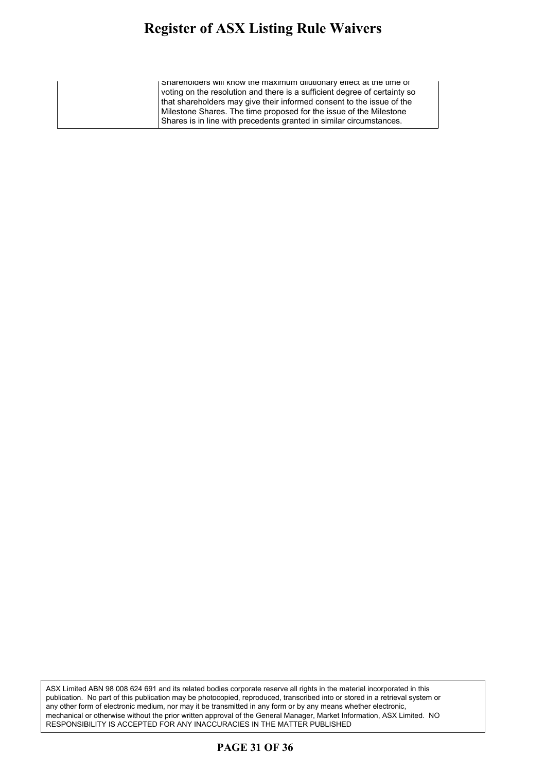#### **Register of ASX Listing Rule Waivers**  $\sigma$ ister of ASX Listing Rule Waivers  $\mathbf{s}$ <sup>1,500</sup>,011 Milestone Shares, as part consideration for  $\mathbf{s}$

| Shareholders will know the maximum dilutionary effect at the time of<br>voting on the resolution and there is a sufficient degree of certainty so<br>that shareholders may give their informed consent to the issue of the<br>Milestone Shares. The time proposed for the issue of the Milestone |
|--------------------------------------------------------------------------------------------------------------------------------------------------------------------------------------------------------------------------------------------------------------------------------------------------|
| Shares is in line with precedents granted in similar circumstances.                                                                                                                                                                                                                              |

ASX Limited ABN 98 008 624 691 and its related bodies corporate reserve all rights in the material incorporated in this publication. No part of this publication may be photocopied, reproduced, transcribed into or stored in a retrieval system or any other form of electronic medium, nor may it be transmitted in any form or by any means whether electronic, mechanical or otherwise without the prior written approval of the General Manager, Market Information, ASX Limited. NO RESPONSIBILITY IS ACCEPTED FOR ANY INACCURACIES IN THE MATTER PUBLISHED

### **PAGE 31 OF 36**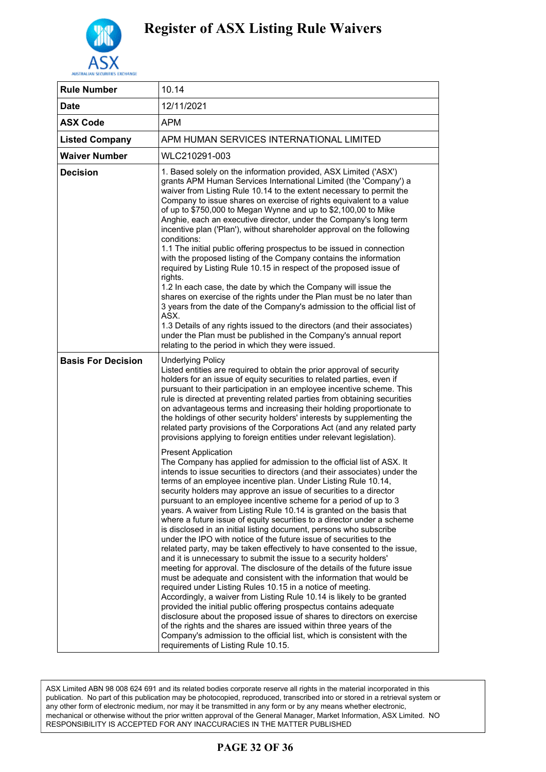

| <b>Rule Number</b>        | 10.14                                                                                                                                                                                                                                                                                                                                                                                                                                                                                                                                                                                                                                                                                                                                                                                                                                                                                                                                                                                                                                                                                                                                                                                                                                                                                                                                                                                                                                                                                                                                                                                                                                                                                                                                                                                                                                                                                                                                                                                                                                                                 |
|---------------------------|-----------------------------------------------------------------------------------------------------------------------------------------------------------------------------------------------------------------------------------------------------------------------------------------------------------------------------------------------------------------------------------------------------------------------------------------------------------------------------------------------------------------------------------------------------------------------------------------------------------------------------------------------------------------------------------------------------------------------------------------------------------------------------------------------------------------------------------------------------------------------------------------------------------------------------------------------------------------------------------------------------------------------------------------------------------------------------------------------------------------------------------------------------------------------------------------------------------------------------------------------------------------------------------------------------------------------------------------------------------------------------------------------------------------------------------------------------------------------------------------------------------------------------------------------------------------------------------------------------------------------------------------------------------------------------------------------------------------------------------------------------------------------------------------------------------------------------------------------------------------------------------------------------------------------------------------------------------------------------------------------------------------------------------------------------------------------|
| <b>Date</b>               | 12/11/2021                                                                                                                                                                                                                                                                                                                                                                                                                                                                                                                                                                                                                                                                                                                                                                                                                                                                                                                                                                                                                                                                                                                                                                                                                                                                                                                                                                                                                                                                                                                                                                                                                                                                                                                                                                                                                                                                                                                                                                                                                                                            |
| <b>ASX Code</b>           | <b>APM</b>                                                                                                                                                                                                                                                                                                                                                                                                                                                                                                                                                                                                                                                                                                                                                                                                                                                                                                                                                                                                                                                                                                                                                                                                                                                                                                                                                                                                                                                                                                                                                                                                                                                                                                                                                                                                                                                                                                                                                                                                                                                            |
| <b>Listed Company</b>     | APM HUMAN SERVICES INTERNATIONAL LIMITED                                                                                                                                                                                                                                                                                                                                                                                                                                                                                                                                                                                                                                                                                                                                                                                                                                                                                                                                                                                                                                                                                                                                                                                                                                                                                                                                                                                                                                                                                                                                                                                                                                                                                                                                                                                                                                                                                                                                                                                                                              |
| <b>Waiver Number</b>      | WLC210291-003                                                                                                                                                                                                                                                                                                                                                                                                                                                                                                                                                                                                                                                                                                                                                                                                                                                                                                                                                                                                                                                                                                                                                                                                                                                                                                                                                                                                                                                                                                                                                                                                                                                                                                                                                                                                                                                                                                                                                                                                                                                         |
| <b>Decision</b>           | 1. Based solely on the information provided, ASX Limited ('ASX')<br>grants APM Human Services International Limited (the 'Company') a<br>waiver from Listing Rule 10.14 to the extent necessary to permit the<br>Company to issue shares on exercise of rights equivalent to a value<br>of up to \$750,000 to Megan Wynne and up to \$2,100,00 to Mike<br>Anghie, each an executive director, under the Company's long term<br>incentive plan ('Plan'), without shareholder approval on the following<br>conditions:<br>1.1 The initial public offering prospectus to be issued in connection<br>with the proposed listing of the Company contains the information<br>required by Listing Rule 10.15 in respect of the proposed issue of<br>rights.<br>1.2 In each case, the date by which the Company will issue the<br>shares on exercise of the rights under the Plan must be no later than<br>3 years from the date of the Company's admission to the official list of<br>ASX.<br>1.3 Details of any rights issued to the directors (and their associates)<br>under the Plan must be published in the Company's annual report<br>relating to the period in which they were issued.                                                                                                                                                                                                                                                                                                                                                                                                                                                                                                                                                                                                                                                                                                                                                                                                                                                                                |
| <b>Basis For Decision</b> | <b>Underlying Policy</b><br>Listed entities are required to obtain the prior approval of security<br>holders for an issue of equity securities to related parties, even if<br>pursuant to their participation in an employee incentive scheme. This<br>rule is directed at preventing related parties from obtaining securities<br>on advantageous terms and increasing their holding proportionate to<br>the holdings of other security holders' interests by supplementing the<br>related party provisions of the Corporations Act (and any related party<br>provisions applying to foreign entities under relevant legislation).<br><b>Present Application</b><br>The Company has applied for admission to the official list of ASX. It<br>intends to issue securities to directors (and their associates) under the<br>terms of an employee incentive plan. Under Listing Rule 10.14,<br>security holders may approve an issue of securities to a director<br>pursuant to an employee incentive scheme for a period of up to 3<br>years. A waiver from Listing Rule 10.14 is granted on the basis that<br>where a future issue of equity securities to a director under a scheme<br>is disclosed in an initial listing document, persons who subscribe<br>under the IPO with notice of the future issue of securities to the<br>related party, may be taken effectively to have consented to the issue,<br>and it is unnecessary to submit the issue to a security holders'<br>meeting for approval. The disclosure of the details of the future issue<br>must be adequate and consistent with the information that would be<br>required under Listing Rules 10.15 in a notice of meeting.<br>Accordingly, a waiver from Listing Rule 10.14 is likely to be granted<br>provided the initial public offering prospectus contains adequate<br>disclosure about the proposed issue of shares to directors on exercise<br>of the rights and the shares are issued within three years of the<br>Company's admission to the official list, which is consistent with the |

ASX Limited ABN 98 008 624 691 and its related bodies corporate reserve all rights in the material incorporated in this publication. No part of this publication may be photocopied, reproduced, transcribed into or stored in a retrieval system or any other form of electronic medium, nor may it be transmitted in any form or by any means whether electronic, mechanical or otherwise without the prior written approval of the General Manager, Market Information, ASX Limited. NO RESPONSIBILITY IS ACCEPTED FOR ANY INACCURACIES IN THE MATTER PUBLISHED

## **PAGE 32 OF 36**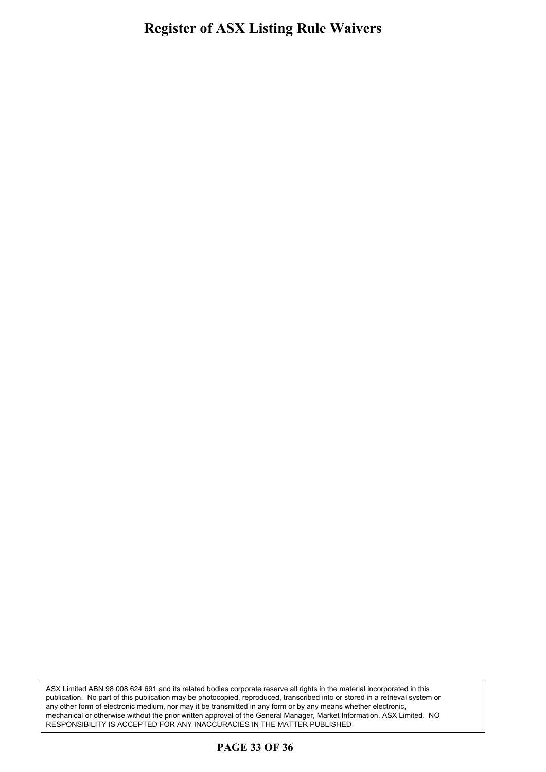ASX Limited ABN 98 008 624 691 and its related bodies corporate reserve all rights in the material incorporated in this publication. No part of this publication may be photocopied, reproduced, transcribed into or stored in a retrieval system or any other form of electronic medium, nor may it be transmitted in any form or by any means whether electronic, mechanical or otherwise without the prior written approval of the General Manager, Market Information, ASX Limited. NO RESPONSIBILITY IS ACCEPTED FOR ANY INACCURACIES IN THE MATTER PUBLISHED

## **PAGE 33 OF 36**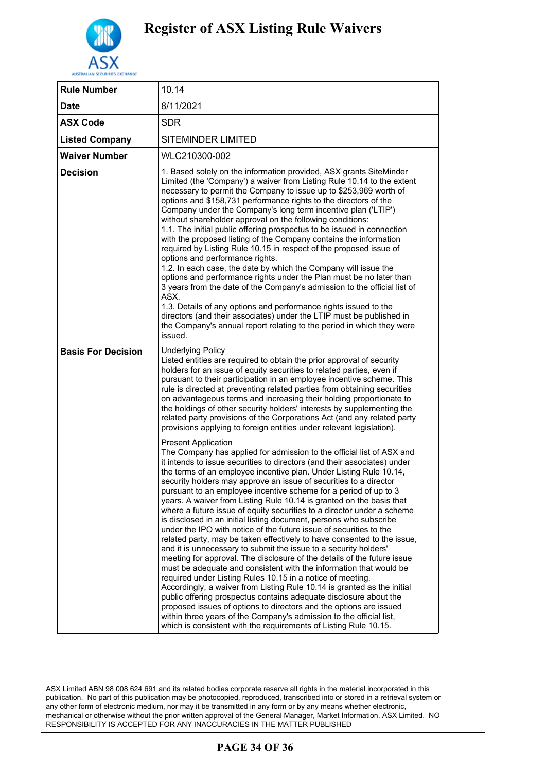

| <b>Rule Number</b>        | 10.14                                                                                                                                                                                                                                                                                                                                                                                                                                                                                                                                                                                                                                                                                                                                                                                                                                                                                                                                                                                                                                                                                                                                                                                                                                                                                                                                                                                                                       |
|---------------------------|-----------------------------------------------------------------------------------------------------------------------------------------------------------------------------------------------------------------------------------------------------------------------------------------------------------------------------------------------------------------------------------------------------------------------------------------------------------------------------------------------------------------------------------------------------------------------------------------------------------------------------------------------------------------------------------------------------------------------------------------------------------------------------------------------------------------------------------------------------------------------------------------------------------------------------------------------------------------------------------------------------------------------------------------------------------------------------------------------------------------------------------------------------------------------------------------------------------------------------------------------------------------------------------------------------------------------------------------------------------------------------------------------------------------------------|
| <b>Date</b>               | 8/11/2021                                                                                                                                                                                                                                                                                                                                                                                                                                                                                                                                                                                                                                                                                                                                                                                                                                                                                                                                                                                                                                                                                                                                                                                                                                                                                                                                                                                                                   |
| <b>ASX Code</b>           | <b>SDR</b>                                                                                                                                                                                                                                                                                                                                                                                                                                                                                                                                                                                                                                                                                                                                                                                                                                                                                                                                                                                                                                                                                                                                                                                                                                                                                                                                                                                                                  |
| <b>Listed Company</b>     | SITEMINDER LIMITED                                                                                                                                                                                                                                                                                                                                                                                                                                                                                                                                                                                                                                                                                                                                                                                                                                                                                                                                                                                                                                                                                                                                                                                                                                                                                                                                                                                                          |
| <b>Waiver Number</b>      | WLC210300-002                                                                                                                                                                                                                                                                                                                                                                                                                                                                                                                                                                                                                                                                                                                                                                                                                                                                                                                                                                                                                                                                                                                                                                                                                                                                                                                                                                                                               |
| <b>Decision</b>           | 1. Based solely on the information provided, ASX grants SiteMinder<br>Limited (the 'Company') a waiver from Listing Rule 10.14 to the extent<br>necessary to permit the Company to issue up to \$253,969 worth of<br>options and \$158,731 performance rights to the directors of the<br>Company under the Company's long term incentive plan ('LTIP')<br>without shareholder approval on the following conditions:<br>1.1. The initial public offering prospectus to be issued in connection<br>with the proposed listing of the Company contains the information<br>required by Listing Rule 10.15 in respect of the proposed issue of<br>options and performance rights.<br>1.2. In each case, the date by which the Company will issue the<br>options and performance rights under the Plan must be no later than<br>3 years from the date of the Company's admission to the official list of<br>ASX.<br>1.3. Details of any options and performance rights issued to the<br>directors (and their associates) under the LTIP must be published in<br>the Company's annual report relating to the period in which they were<br>issued.                                                                                                                                                                                                                                                                                   |
| <b>Basis For Decision</b> | <b>Underlying Policy</b><br>Listed entities are required to obtain the prior approval of security<br>holders for an issue of equity securities to related parties, even if<br>pursuant to their participation in an employee incentive scheme. This<br>rule is directed at preventing related parties from obtaining securities<br>on advantageous terms and increasing their holding proportionate to<br>the holdings of other security holders' interests by supplementing the<br>related party provisions of the Corporations Act (and any related party<br>provisions applying to foreign entities under relevant legislation).                                                                                                                                                                                                                                                                                                                                                                                                                                                                                                                                                                                                                                                                                                                                                                                         |
|                           | <b>Present Application</b><br>The Company has applied for admission to the official list of ASX and<br>it intends to issue securities to directors (and their associates) under<br>the terms of an employee incentive plan. Under Listing Rule 10.14,<br>security holders may approve an issue of securities to a director<br>pursuant to an employee incentive scheme for a period of up to 3<br>years. A waiver from Listing Rule 10.14 is granted on the basis that<br>where a future issue of equity securities to a director under a scheme<br>is disclosed in an initial listing document, persons who subscribe<br>under the IPO with notice of the future issue of securities to the<br>related party, may be taken effectively to have consented to the issue,<br>and it is unnecessary to submit the issue to a security holders'<br>meeting for approval. The disclosure of the details of the future issue<br>must be adequate and consistent with the information that would be<br>required under Listing Rules 10.15 in a notice of meeting.<br>Accordingly, a waiver from Listing Rule 10.14 is granted as the initial<br>public offering prospectus contains adequate disclosure about the<br>proposed issues of options to directors and the options are issued<br>within three years of the Company's admission to the official list,<br>which is consistent with the requirements of Listing Rule 10.15. |

ASX Limited ABN 98 008 624 691 and its related bodies corporate reserve all rights in the material incorporated in this publication. No part of this publication may be photocopied, reproduced, transcribed into or stored in a retrieval system or any other form of electronic medium, nor may it be transmitted in any form or by any means whether electronic, mechanical or otherwise without the prior written approval of the General Manager, Market Information, ASX Limited. NO RESPONSIBILITY IS ACCEPTED FOR ANY INACCURACIES IN THE MATTER PUBLISHED

## **PAGE 34 OF 36**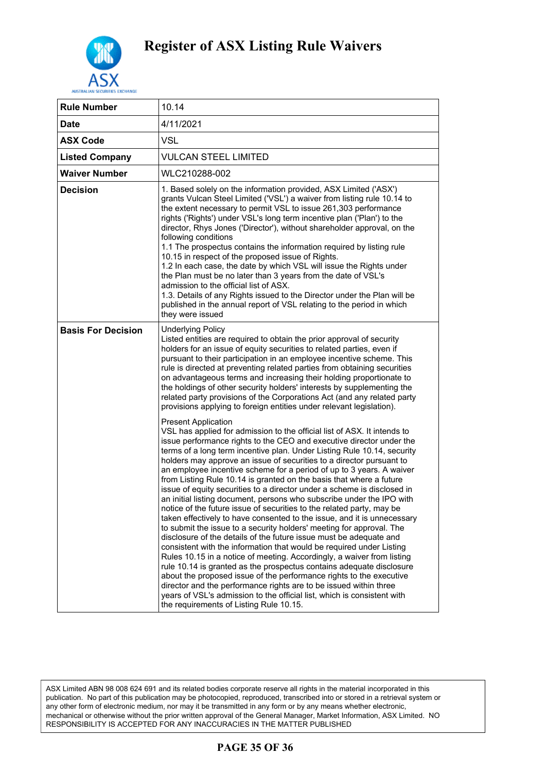

| <b>Rule Number</b>        | 10.14                                                                                                                                                                                                                                                                                                                                                                                                                                                                                                                                                                                                                                                                                                                                                                                                                                                                                                                                                                                                                                                                                                                                                                                                                                                                                                                                                                                                                              |
|---------------------------|------------------------------------------------------------------------------------------------------------------------------------------------------------------------------------------------------------------------------------------------------------------------------------------------------------------------------------------------------------------------------------------------------------------------------------------------------------------------------------------------------------------------------------------------------------------------------------------------------------------------------------------------------------------------------------------------------------------------------------------------------------------------------------------------------------------------------------------------------------------------------------------------------------------------------------------------------------------------------------------------------------------------------------------------------------------------------------------------------------------------------------------------------------------------------------------------------------------------------------------------------------------------------------------------------------------------------------------------------------------------------------------------------------------------------------|
| <b>Date</b>               | 4/11/2021                                                                                                                                                                                                                                                                                                                                                                                                                                                                                                                                                                                                                                                                                                                                                                                                                                                                                                                                                                                                                                                                                                                                                                                                                                                                                                                                                                                                                          |
| <b>ASX Code</b>           | VSL                                                                                                                                                                                                                                                                                                                                                                                                                                                                                                                                                                                                                                                                                                                                                                                                                                                                                                                                                                                                                                                                                                                                                                                                                                                                                                                                                                                                                                |
| <b>Listed Company</b>     | <b>VULCAN STEEL LIMITED</b>                                                                                                                                                                                                                                                                                                                                                                                                                                                                                                                                                                                                                                                                                                                                                                                                                                                                                                                                                                                                                                                                                                                                                                                                                                                                                                                                                                                                        |
| <b>Waiver Number</b>      | WLC210288-002                                                                                                                                                                                                                                                                                                                                                                                                                                                                                                                                                                                                                                                                                                                                                                                                                                                                                                                                                                                                                                                                                                                                                                                                                                                                                                                                                                                                                      |
| <b>Decision</b>           | 1. Based solely on the information provided, ASX Limited ('ASX')<br>grants Vulcan Steel Limited ('VSL') a waiver from listing rule 10.14 to<br>the extent necessary to permit VSL to issue 261,303 performance<br>rights ('Rights') under VSL's long term incentive plan ('Plan') to the<br>director, Rhys Jones ('Director'), without shareholder approval, on the<br>following conditions<br>1.1 The prospectus contains the information required by listing rule<br>10.15 in respect of the proposed issue of Rights.<br>1.2 In each case, the date by which VSL will issue the Rights under<br>the Plan must be no later than 3 years from the date of VSL's<br>admission to the official list of ASX.<br>1.3. Details of any Rights issued to the Director under the Plan will be<br>published in the annual report of VSL relating to the period in which<br>they were issued                                                                                                                                                                                                                                                                                                                                                                                                                                                                                                                                                |
| <b>Basis For Decision</b> | <b>Underlying Policy</b><br>Listed entities are required to obtain the prior approval of security<br>holders for an issue of equity securities to related parties, even if<br>pursuant to their participation in an employee incentive scheme. This<br>rule is directed at preventing related parties from obtaining securities<br>on advantageous terms and increasing their holding proportionate to<br>the holdings of other security holders' interests by supplementing the<br>related party provisions of the Corporations Act (and any related party<br>provisions applying to foreign entities under relevant legislation).                                                                                                                                                                                                                                                                                                                                                                                                                                                                                                                                                                                                                                                                                                                                                                                                |
|                           | <b>Present Application</b><br>VSL has applied for admission to the official list of ASX. It intends to<br>issue performance rights to the CEO and executive director under the<br>terms of a long term incentive plan. Under Listing Rule 10.14, security<br>holders may approve an issue of securities to a director pursuant to<br>an employee incentive scheme for a period of up to 3 years. A waiver<br>from Listing Rule 10.14 is granted on the basis that where a future<br>issue of equity securities to a director under a scheme is disclosed in<br>an initial listing document, persons who subscribe under the IPO with<br>notice of the future issue of securities to the related party, may be<br>taken effectively to have consented to the issue, and it is unnecessary<br>to submit the issue to a security holders' meeting for approval. The<br>disclosure of the details of the future issue must be adequate and<br>consistent with the information that would be required under Listing<br>Rules 10.15 in a notice of meeting. Accordingly, a waiver from listing<br>rule 10.14 is granted as the prospectus contains adequate disclosure<br>about the proposed issue of the performance rights to the executive<br>director and the performance rights are to be issued within three<br>years of VSL's admission to the official list, which is consistent with<br>the requirements of Listing Rule 10.15. |

ASX Limited ABN 98 008 624 691 and its related bodies corporate reserve all rights in the material incorporated in this publication. No part of this publication may be photocopied, reproduced, transcribed into or stored in a retrieval system or any other form of electronic medium, nor may it be transmitted in any form or by any means whether electronic, mechanical or otherwise without the prior written approval of the General Manager, Market Information, ASX Limited. NO RESPONSIBILITY IS ACCEPTED FOR ANY INACCURACIES IN THE MATTER PUBLISHED

## **PAGE 35 OF 36**